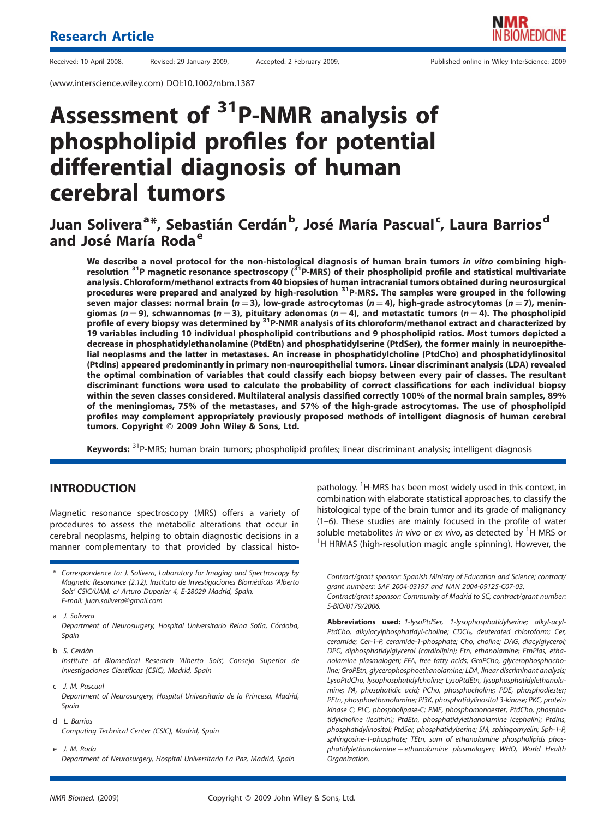(www.interscience.wiley.com) DOI:10.1002/nbm.1387

# Assessment of 31P-NMR analysis of phospholipid profiles for potential differential diagnosis of human cerebral tumors

# Juan Solivera<sup>a</sup>\*, Sebastián Cerdán<sup>b</sup>, José María Pascual<sup>c</sup>, Laura Barrios<sup>d</sup> and José María Roda<sup>e</sup>

We describe a novel protocol for the non-histological diagnosis of human brain tumors *in vitro* combining high-<br>resolution <sup>31</sup>P magnetic resonance spectroscopy (<sup>31</sup>P-MRS) of their phospholipid profile and statistical mu analysis. Chloroform/methanol extracts from 40 biopsies of human intracranial tumors obtained during neurosurgical procedures were prepared and analyzed by high-resolution 31P-MRS. The samples were grouped in the following seven major classes: normal brain ( $n = 3$ ), low-grade astrocytomas ( $n = 4$ ), high-grade astrocytomas ( $n = 7$ ), meningiomas (n = 9), schwannomas (n = 3), pituitary adenomas (n = 4), and metastatic tumors (n = 4). The phospholipid profile of every biopsy was determined by 31P-NMR analysis of its chloroform/methanol extract and characterized by 19 variables including 10 individual phospholipid contributions and 9 phospholipid ratios. Most tumors depicted a decrease in phosphatidylethanolamine (PtdEtn) and phosphatidylserine (PtdSer), the former mainly in neuroepithelial neoplasms and the latter in metastases. An increase in phosphatidylcholine (PtdCho) and phosphatidylinositol (PtdIns) appeared predominantly in primary non-neuroepithelial tumors. Linear discriminant analysis (LDA) revealed the optimal combination of variables that could classify each biopsy between every pair of classes. The resultant discriminant functions were used to calculate the probability of correct classifications for each individual biopsy within the seven classes considered. Multilateral analysis classified correctly 100% of the normal brain samples, 89% of the meningiomas, 75% of the metastases, and 57% of the high-grade astrocytomas. The use of phospholipid profiles may complement appropriately previously proposed methods of intelligent diagnosis of human cerebral tumors. Copyright © 2009 John Wiley & Sons, Ltd.

Keywords: <sup>31</sup>P-MRS; human brain tumors; phospholipid profiles; linear discriminant analysis; intelligent diagnosis

# INTRODUCTION

Magnetic resonance spectroscopy (MRS) offers a variety of procedures to assess the metabolic alterations that occur in cerebral neoplasms, helping to obtain diagnostic decisions in a manner complementary to that provided by classical histo-

- a J. Solivera Department of Neurosurgery, Hospital Universitario Reina Sofía, Córdoba, Spain
- b S. Cerdán Institute of Biomedical Research 'Alberto Sols', Consejo Superior de Investigaciones Científicas (CSIC), Madrid, Spain
- c J. M. Pascual Department of Neurosurgery, Hospital Universitario de la Princesa, Madrid, Spain
- d L. Barrios Computing Technical Center (CSIC), Madrid, Spain

e J. M. Roda

Department of Neurosurgery, Hospital Universitario La Paz, Madrid, Spain

pathology. <sup>1</sup>H-MRS has been most widely used in this context, in combination with elaborate statistical approaches, to classify the histological type of the brain tumor and its grade of malignancy (1–6). These studies are mainly focused in the profile of water soluble metabolites *in vivo* or ex vivo, as detected by <sup>1</sup>H MRS or  $^{11}$  HPMAS (bigh-resolution magic angle spinning). However, the  $<sup>1</sup>H$  HRMAS (high-resolution magic angle spinning). However, the</sup>

Contract/grant sponsor: Spanish Ministry of Education and Science; contract/ grant numbers: SAF 2004-03197 and NAN 2004-09125-C07-03. Contract/grant sponsor: Community of Madrid to SC; contract/grant number: S-BIO/0179/2006.

Abbreviations used: 1-lysoPtdSer, 1-lysophosphatidylserine; alkyl-acyl-PtdCho, alkylacylphosphatidyl-choline; CDCl<sub>3</sub>, deuterated chloroform; Cer, ceramide; Cer-1-P, ceramide-1-phosphate; Cho, choline; DAG, diacylglycerol; DPG, diphosphatidylglycerol (cardiolipin); Etn, ethanolamine; EtnPlas, ethanolamine plasmalogen; FFA, free fatty acids; GroPCho, glycerophosphocholine; GroPEtn, glycerophosphoethanolamine; LDA, linear discriminant analysis; LysoPtdCho, lysophosphatidylcholine; LysoPtdEtn, lysophosphatidylethanolamine; PA, phosphatidic acid; PCho, phosphocholine; PDE, phosphodiester; PEtn, phosphoethanolamine; PI3K, phosphatidylinositol 3-kinase; PKC, protein kinase C; PLC, phospholipase-C; PME, phosphomonoester; PtdCho, phosphatidylcholine (lecithin); PtdEtn, phosphatidylethanolamine (cephalin); PtdIns, phosphatidylinositol; PtdSer, phosphatidylserine; SM, sphingomyelin; Sph-1-P, sphingosine-1-phosphate; TEtn, sum of ethanolamine phospholipids phosphatidylethanolamine + ethanolamine plasmalogen; WHO, World Health Organization.



Correspondence to: J. Solivera, Laboratory for Imaging and Spectroscopy by Magnetic Resonance (2.12), Instituto de Investigaciones Biomédicas 'Alberto Sols' CSIC/UAM, c/ Arturo Duperier 4, E-28029 Madrid, Spain. E-mail: juan.solivera@gmail.com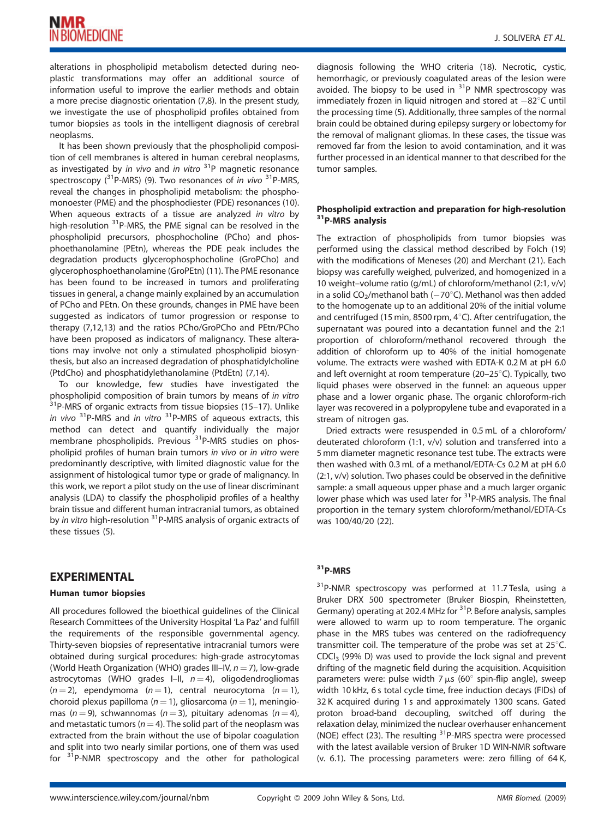alterations in phospholipid metabolism detected during neoplastic transformations may offer an additional source of information useful to improve the earlier methods and obtain a more precise diagnostic orientation (7,8). In the present study, we investigate the use of phospholipid profiles obtained from tumor biopsies as tools in the intelligent diagnosis of cerebral neoplasms.

It has been shown previously that the phospholipid composition of cell membranes is altered in human cerebral neoplasms, as investigated by in vivo and in vitro  $31P$  magnetic resonance spectroscopy  $(^{31}P\text{-MRS})$  (9). Two resonances of in vivo  $^{31}P\text{-MRS}$ , reveal the changes in phospholipid metabolism: the phosphomonoester (PME) and the phosphodiester (PDE) resonances (10). When aqueous extracts of a tissue are analyzed in vitro by high-resolution <sup>31</sup>P-MRS, the PME signal can be resolved in the phospholipid precursors, phosphocholine (PCho) and phosphoethanolamine (PEtn), whereas the PDE peak includes the degradation products glycerophosphocholine (GroPCho) and glycerophosphoethanolamine (GroPEtn) (11). The PME resonance has been found to be increased in tumors and proliferating tissues in general, a change mainly explained by an accumulation of PCho and PEtn. On these grounds, changes in PME have been suggested as indicators of tumor progression or response to therapy (7,12,13) and the ratios PCho/GroPCho and PEtn/PCho have been proposed as indicators of malignancy. These alterations may involve not only a stimulated phospholipid biosynthesis, but also an increased degradation of phosphatidylcholine (PtdCho) and phosphatidylethanolamine (PtdEtn) (7,14).

To our knowledge, few studies have investigated the phospholipid composition of brain tumors by means of *in vitro* <sup>31</sup>P-MRS of organic extracts from tissue biopsies (15–17). Unlike in vivo  $3^{1}$ P-MRS and in vitro  $3^{1}$ P-MRS of aqueous extracts, this method can detect and quantify individually the major membrane phospholipids. Previous <sup>31</sup>P-MRS studies on phospholipid profiles of human brain tumors in vivo or in vitro were predominantly descriptive, with limited diagnostic value for the assignment of histological tumor type or grade of malignancy. In this work, we report a pilot study on the use of linear discriminant analysis (LDA) to classify the phospholipid profiles of a healthy brain tissue and different human intracranial tumors, as obtained by *in vitro* high-resolution <sup>31</sup>P-MRS analysis of organic extracts of these tissues (5).

# EXPERIMENTAL

#### Human tumor biopsies

All procedures followed the bioethical guidelines of the Clinical Research Committees of the University Hospital 'La Paz' and fulfill the requirements of the responsible governmental agency. Thirty-seven biopsies of representative intracranial tumors were obtained during surgical procedures: high-grade astrocytomas (World Heath Organization (WHO) grades III–IV,  $n = 7$ ), low-grade astrocytomas (WHO grades I–II,  $n = 4$ ), oligodendrogliomas  $(n = 2)$ , ependymoma  $(n = 1)$ , central neurocytoma  $(n = 1)$ , choroid plexus papilloma ( $n = 1$ ), gliosarcoma ( $n = 1$ ), meningiomas ( $n = 9$ ), schwannomas ( $n = 3$ ), pituitary adenomas ( $n = 4$ ), and metastatic tumors ( $n = 4$ ). The solid part of the neoplasm was extracted from the brain without the use of bipolar coagulation and split into two nearly similar portions, one of them was used for  $31P-NMR$  spectroscopy and the other for pathological diagnosis following the WHO criteria (18). Necrotic, cystic, hemorrhagic, or previously coagulated areas of the lesion were avoided. The biopsy to be used in  $31P$  NMR spectroscopy was immediately frozen in liquid nitrogen and stored at  $-82^{\circ}$ C until the processing time (5). Additionally, three samples of the normal brain could be obtained during epilepsy surgery or lobectomy for the removal of malignant gliomas. In these cases, the tissue was removed far from the lesion to avoid contamination, and it was further processed in an identical manner to that described for the tumor samples.

#### Phospholipid extraction and preparation for high-resolution 31P-MRS analysis

The extraction of phospholipids from tumor biopsies was performed using the classical method described by Folch (19) with the modifications of Meneses (20) and Merchant (21). Each biopsy was carefully weighed, pulverized, and homogenized in a 10 weight–volume ratio (g/mL) of chloroform/methanol (2:1, v/v) in a solid  $CO<sub>2</sub>/methanol bath$  (-70 $^{\circ}$ C). Methanol was then added to the homogenate up to an additional 20% of the initial volume and centrifuged (15 min, 8500 rpm,  $4^{\circ}$ C). After centrifugation, the supernatant was poured into a decantation funnel and the 2:1 proportion of chloroform/methanol recovered through the addition of chloroform up to 40% of the initial homogenate volume. The extracts were washed with EDTA-K 0.2 M at pH 6.0 and left overnight at room temperature (20–25 $^{\circ}$ C). Typically, two liquid phases were observed in the funnel: an aqueous upper phase and a lower organic phase. The organic chloroform-rich layer was recovered in a polypropylene tube and evaporated in a stream of nitrogen gas.

Dried extracts were resuspended in 0.5 mL of a chloroform/ deuterated chloroform (1:1, v/v) solution and transferred into a 5 mm diameter magnetic resonance test tube. The extracts were then washed with 0.3 mL of a methanol/EDTA-Cs 0.2 M at pH 6.0 (2:1, v/v) solution. Two phases could be observed in the definitive sample: a small aqueous upper phase and a much larger organic lower phase which was used later for <sup>31</sup>P-MRS analysis. The final proportion in the ternary system chloroform/methanol/EDTA-Cs was 100/40/20 (22).

#### 31P-MRS

<sup>31</sup>P-NMR spectroscopy was performed at 11.7 Tesla, using a Bruker DRX 500 spectrometer (Bruker Biospin, Rheinstetten, Germany) operating at 202.4 MHz for <sup>31</sup>P. Before analysis, samples were allowed to warm up to room temperature. The organic phase in the MRS tubes was centered on the radiofrequency transmitter coil. The temperature of the probe was set at  $25^{\circ}$ C.  $CDCl<sub>3</sub>$  (99% D) was used to provide the lock signal and prevent drifting of the magnetic field during the acquisition. Acquisition parameters were: pulse width  $7 \mu s$  (60 $^{\circ}$  spin-flip angle), sweep width 10 kHz, 6 s total cycle time, free induction decays (FIDs) of 32 K acquired during 1 s and approximately 1300 scans. Gated proton broad-band decoupling, switched off during the relaxation delay, minimized the nuclear overhauser enhancement (NOE) effect (23). The resulting <sup>31</sup>P-MRS spectra were processed with the latest available version of Bruker 1D WIN-NMR software (v. 6.1). The processing parameters were: zero filling of 64 K,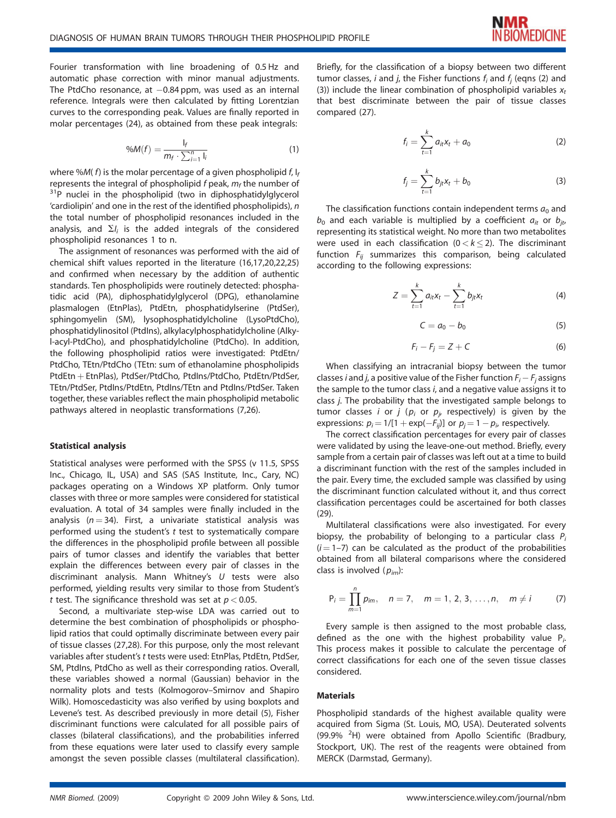Fourier transformation with line broadening of 0.5 Hz and automatic phase correction with minor manual adjustments. The PtdCho resonance, at  $-0.84$  ppm, was used as an internal reference. Integrals were then calculated by fitting Lorentzian curves to the corresponding peak. Values are finally reported in molar percentages (24), as obtained from these peak integrals:

$$
\%M(f) = \frac{I_f}{m_f \cdot \sum_{i=1}^n I_i} \tag{1}
$$

where %M( $f$ ) is the molar percentage of a given phospholipid  $f$ ,  $I_f$ represents the integral of phospholipid f peak,  $m_f$  the number of  $31P$  nuclei in the phospholipid (two in diphosphatidylglycerol 'cardiolipin' and one in the rest of the identified phospholipids), n the total number of phospholipid resonances included in the analysis, and  $\Sigma l_i$  is the added integrals of the considered phospholipid resonances 1 to n.

The assignment of resonances was performed with the aid of chemical shift values reported in the literature (16,17,20,22,25) and confirmed when necessary by the addition of authentic standards. Ten phospholipids were routinely detected: phosphatidic acid (PA), diphosphatidylglycerol (DPG), ethanolamine plasmalogen (EtnPlas), PtdEtn, phosphatidylserine (PtdSer), sphingomyelin (SM), lysophosphatidylcholine (LysoPtdCho), phosphatidylinositol (PtdIns), alkylacylphosphatidylcholine (Alkyl-acyl-PtdCho), and phosphatidylcholine (PtdCho). In addition, the following phospholipid ratios were investigated: PtdEtn/ PtdCho, TEtn/PtdCho (TEtn: sum of ethanolamine phospholipids PtdEtn + EtnPlas), PtdSer/PtdCho, PtdIns/PtdCho, PtdEtn/PtdSer, TEtn/PtdSer, PtdIns/PtdEtn, PtdIns/TEtn and PtdIns/PtdSer. Taken together, these variables reflect the main phospholipid metabolic pathways altered in neoplastic transformations (7,26).

#### Statistical analysis

Statistical analyses were performed with the SPSS (v 11.5, SPSS Inc., Chicago, IL, USA) and SAS (SAS Institute, Inc., Cary, NC) packages operating on a Windows XP platform. Only tumor classes with three or more samples were considered for statistical evaluation. A total of 34 samples were finally included in the analysis ( $n = 34$ ). First, a univariate statistical analysis was performed using the student's t test to systematically compare the differences in the phospholipid profile between all possible pairs of tumor classes and identify the variables that better explain the differences between every pair of classes in the discriminant analysis. Mann Whitney's U tests were also performed, yielding results very similar to those from Student's t test. The significance threshold was set at  $p < 0.05$ .

Second, a multivariate step-wise LDA was carried out to determine the best combination of phospholipids or phospholipid ratios that could optimally discriminate between every pair of tissue classes (27,28). For this purpose, only the most relevant variables after student's t tests were used: EtnPlas, PtdEtn, PtdSer, SM, PtdIns, PtdCho as well as their corresponding ratios. Overall, these variables showed a normal (Gaussian) behavior in the normality plots and tests (Kolmogorov–Smirnov and Shapiro Wilk). Homoscedasticity was also verified by using boxplots and Levene's test. As described previously in more detail (5), Fisher discriminant functions were calculated for all possible pairs of classes (bilateral classifications), and the probabilities inferred from these equations were later used to classify every sample amongst the seven possible classes (multilateral classification).

Briefly, for the classification of a biopsy between two different tumor classes, *i* and *j*, the Fisher functions  $f_i$  and  $f_i$  (eqns (2) and (3)) include the linear combination of phospholipid variables  $x_t$ that best discriminate between the pair of tissue classes compared (27).

$$
f_i = \sum_{t=1}^k a_{it} x_t + a_0 \tag{2}
$$

$$
f_j = \sum_{t=1}^k b_{jt} x_t + b_0 \tag{3}
$$

The classification functions contain independent terms  $a_0$  and  $b_0$  and each variable is multiplied by a coefficient  $a_{it}$  or  $b_{it}$ , representing its statistical weight. No more than two metabolites were used in each classification ( $0 < k \le 2$ ). The discriminant function  $F_{ii}$  summarizes this comparison, being calculated according to the following expressions:

$$
Z = \sum_{t=1}^{k} a_{it}x_t - \sum_{t=1}^{k} b_{jt}x_t
$$
 (4)

$$
C = a_0 - b_0 \tag{5}
$$

$$
F_i - F_j = Z + C \tag{6}
$$

When classifying an intracranial biopsy between the tumor classes *i* and *j*, a positive value of the Fisher function  $F_i - F_i$  assigns the sample to the tumor class i, and a negative value assigns it to class j. The probability that the investigated sample belongs to tumor classes *i* or *j* ( $p_i$  or  $p_j$ , respectively) is given by the expressions:  $p_i = 1/[1 + \exp(-F_{ij})]$  or  $p_j = 1 - p_i$ , respectively.

The correct classification percentages for every pair of classes were validated by using the leave-one-out method. Briefly, every sample from a certain pair of classes was left out at a time to build a discriminant function with the rest of the samples included in the pair. Every time, the excluded sample was classified by using the discriminant function calculated without it, and thus correct classification percentages could be ascertained for both classes (29).

Multilateral classifications were also investigated. For every biopsy, the probability of belonging to a particular class  $P_i$  $(i = 1-7)$  can be calculated as the product of the probabilities obtained from all bilateral comparisons where the considered class is involved  $(p_{im})$ :

$$
P_i = \prod_{m=1}^n p_{im}, \quad n = 7, \quad m = 1, 2, 3, \ldots, n, \quad m \neq i \tag{7}
$$

Every sample is then assigned to the most probable class, defined as the one with the highest probability value  $P_i$ . . This process makes it possible to calculate the percentage of correct classifications for each one of the seven tissue classes considered.

#### Materials

Phospholipid standards of the highest available quality were acquired from Sigma (St. Louis, MO, USA). Deuterated solvents (99.9% <sup>2</sup>H) were obtained from Apollo Scientific (Bradbury, Stockport, UK). The rest of the reagents were obtained from MERCK (Darmstad, Germany).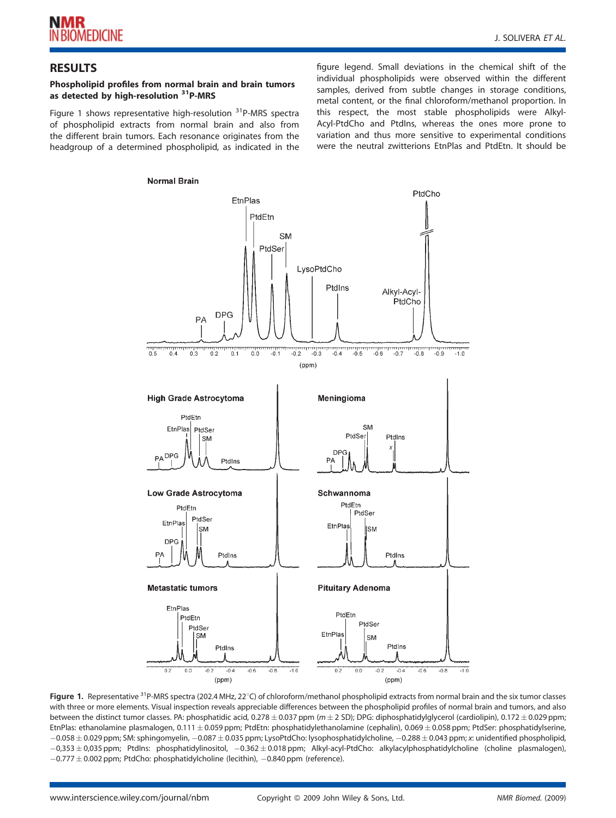# RESULTS

#### Phospholipid profiles from normal brain and brain tumors as detected by high-resolution <sup>31</sup>P-MRS

Figure 1 shows representative high-resolution <sup>31</sup>P-MRS spectra of phospholipid extracts from normal brain and also from the different brain tumors. Each resonance originates from the headgroup of a determined phospholipid, as indicated in the

# **Normal Brain**

figure legend. Small deviations in the chemical shift of the individual phospholipids were observed within the different samples, derived from subtle changes in storage conditions, metal content, or the final chloroform/methanol proportion. In this respect, the most stable phospholipids were Alkyl-Acyl-PtdCho and PtdIns, whereas the ones more prone to variation and thus more sensitive to experimental conditions were the neutral zwitterions EtnPlas and PtdEtn. It should be



Figure 1. Representative <sup>31</sup>P-MRS spectra (202.4 MHz, 22°C) of chloroform/methanol phospholipid extracts from normal brain and the six tumor classes with three or more elements. Visual inspection reveals appreciable differences between the phospholipid profiles of normal brain and tumors, and also between the distinct tumor classes. PA: phosphatidic acid, 0.278  $\pm$  0.037 ppm ( $m \pm 2$  SD); DPG: diphosphatidylglycerol (cardiolipin), 0.172  $\pm$  0.029 ppm; EtnPlas: ethanolamine plasmalogen, 0.111 ± 0.059 ppm; PtdEtn: phosphatidylethanolamine (cephalin), 0.069 ± 0.058 ppm; PtdSer: phosphatidylserine,  $-0.058 \pm 0.029$  ppm; SM: sphingomyelin,  $-0.087 \pm 0.035$  ppm; LysoPtdCho: lysophosphatidylcholine,  $-0.288 \pm 0.043$  ppm; x: unidentified phospholipid,  $-0.353 \pm 0.035$  ppm; PtdIns: phosphatidylinositol,  $-0.362 \pm 0.018$  ppm; Alkyl-acyl-PtdCho: alkylacylphosphatidylcholine (choline plasmalogen),  $-0.777 \pm 0.002$  ppm; PtdCho: phosphatidylcholine (lecithin),  $-0.840$  ppm (reference).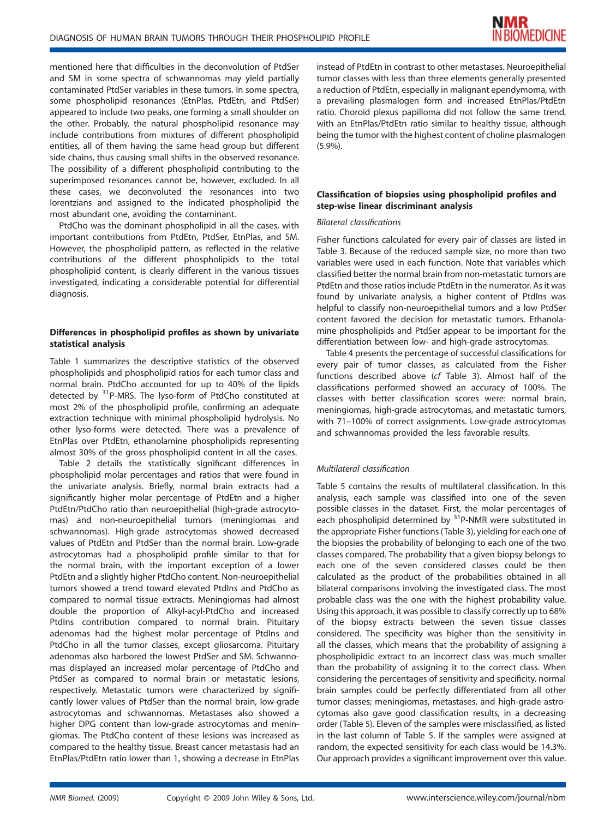mentioned here that difficulties in the deconvolution of PtdSer and SM in some spectra of schwannomas may yield partially contaminated PtdSer variables in these tumors. In some spectra, some phospholipid resonances (EtnPlas, PtdEtn, and PtdSer) appeared to include two peaks, one forming a small shoulder on the other. Probably, the natural phospholipid resonance may include contributions from mixtures of different phospholipid entities, all of them having the same head group but different side chains, thus causing small shifts in the observed resonance. The possibility of a different phospholipid contributing to the superimposed resonances cannot be, however, excluded. In all these cases, we deconvoluted the resonances into two lorentzians and assigned to the indicated phospholipid the most abundant one, avoiding the contaminant.

PtdCho was the dominant phospholipid in all the cases, with important contributions from PtdEtn, PtdSer, EtnPlas, and SM. However, the phospholipid pattern, as reflected in the relative contributions of the different phospholipids to the total phospholipid content, is clearly different in the various tissues investigated, indicating a considerable potential for differential diagnosis.

#### Differences in phospholipid profiles as shown by univariate statistical analysis

Table 1 summarizes the descriptive statistics of the observed phospholipids and phospholipid ratios for each tumor class and normal brain. PtdCho accounted for up to 40% of the lipids detected by <sup>31</sup>P-MRS. The lyso-form of PtdCho constituted at most 2% of the phospholipid profile, confirming an adequate extraction technique with minimal phospholipid hydrolysis. No other lyso-forms were detected. There was a prevalence of EtnPlas over PtdEtn, ethanolamine phospholipids representing almost 30% of the gross phospholipid content in all the cases.

Table 2 details the statistically significant differences in phospholipid molar percentages and ratios that were found in the univariate analysis. Briefly, normal brain extracts had a significantly higher molar percentage of PtdEtn and a higher PtdEtn/PtdCho ratio than neuroepithelial (high-grade astrocytomas) and non-neuroepithelial tumors (meningiomas and schwannomas). High-grade astrocytomas showed decreased values of PtdEtn and PtdSer than the normal brain. Low-grade astrocytomas had a phospholipid profile similar to that for the normal brain, with the important exception of a lower PtdEtn and a slightly higher PtdCho content. Non-neuroepithelial tumors showed a trend toward elevated PtdIns and PtdCho as compared to normal tissue extracts. Meningiomas had almost double the proportion of Alkyl-acyl-PtdCho and increased PtdIns contribution compared to normal brain. Pituitary adenomas had the highest molar percentage of PtdIns and PtdCho in all the tumor classes, except gliosarcoma. Pituitary adenomas also harbored the lowest PtdSer and SM. Schwannomas displayed an increased molar percentage of PtdCho and PtdSer as compared to normal brain or metastatic lesions, respectively. Metastatic tumors were characterized by significantly lower values of PtdSer than the normal brain, low-grade astrocytomas and schwannomas. Metastases also showed a higher DPG content than low-grade astrocytomas and meningiomas. The PtdCho content of these lesions was increased as compared to the healthy tissue. Breast cancer metastasis had an EtnPlas/PtdEtn ratio lower than 1, showing a decrease in EtnPlas

instead of PtdEtn in contrast to other metastases. Neuroepithelial tumor classes with less than three elements generally presented a reduction of PtdEtn, especially in malignant ependymoma, with a prevailing plasmalogen form and increased EtnPlas/PtdEtn ratio. Choroid plexus papilloma did not follow the same trend, with an EtnPlas/PtdEtn ratio similar to healthy tissue, although being the tumor with the highest content of choline plasmalogen (5.9%).

#### Classification of biopsies using phospholipid profiles and step-wise linear discriminant analysis

#### Bilateral classifications

Fisher functions calculated for every pair of classes are listed in Table 3. Because of the reduced sample size, no more than two variables were used in each function. Note that variables which classified better the normal brain from non-metastatic tumors are PtdEtn and those ratios include PtdEtn in the numerator. As it was found by univariate analysis, a higher content of PtdIns was helpful to classify non-neuroepithelial tumors and a low PtdSer content favored the decision for metastatic tumors. Ethanolamine phospholipids and PtdSer appear to be important for the differentiation between low- and high-grade astrocytomas.

Table 4 presents the percentage of successful classifications for every pair of tumor classes, as calculated from the Fisher functions described above (cf Table 3). Almost half of the classifications performed showed an accuracy of 100%. The classes with better classification scores were: normal brain, meningiomas, high-grade astrocytomas, and metastatic tumors, with 71–100% of correct assignments. Low-grade astrocytomas and schwannomas provided the less favorable results.

#### Multilateral classification

Table 5 contains the results of multilateral classification. In this analysis, each sample was classified into one of the seven possible classes in the dataset. First, the molar percentages of each phospholipid determined by  $3^{3}$ P-NMR were substituted in the appropriate Fisher functions (Table 3), yielding for each one of the biopsies the probability of belonging to each one of the two classes compared. The probability that a given biopsy belongs to each one of the seven considered classes could be then calculated as the product of the probabilities obtained in all bilateral comparisons involving the investigated class. The most probable class was the one with the highest probability value. Using this approach, it was possible to classify correctly up to 68% of the biopsy extracts between the seven tissue classes considered. The specificity was higher than the sensitivity in all the classes, which means that the probability of assigning a phospholipidic extract to an incorrect class was much smaller than the probability of assigning it to the correct class. When considering the percentages of sensitivity and specificity, normal brain samples could be perfectly differentiated from all other tumor classes; meningiomas, metastases, and high-grade astrocytomas also gave good classification results, in a decreasing order (Table 5). Eleven of the samples were misclassified, as listed in the last column of Table 5. If the samples were assigned at random, the expected sensitivity for each class would be 14.3%. Our approach provides a significant improvement over this value.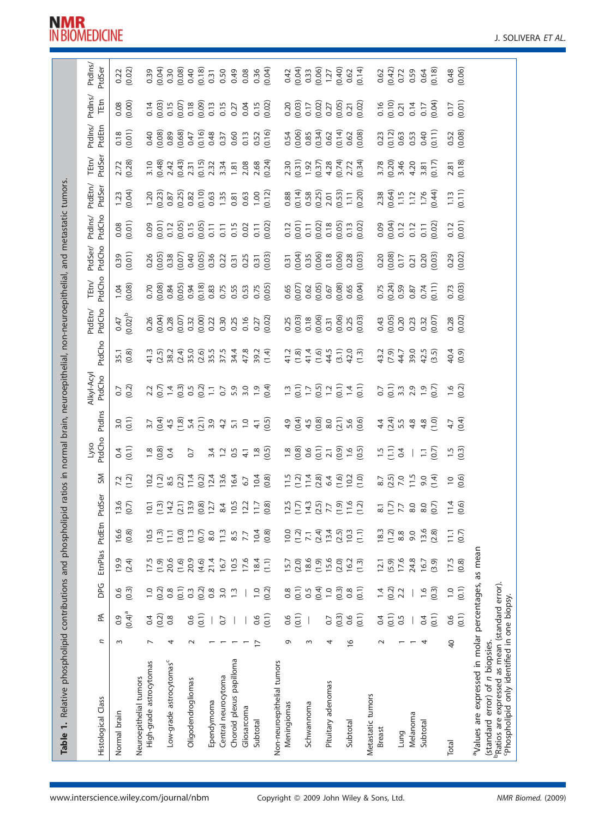| NMR                   |  |
|-----------------------|--|
| <b>IN BIOMEDICINE</b> |  |

| Histological Class                                                                 | c              | Æ              | <b>DPG</b>              | EtnPlas         | $\subset$<br>PtdEti | PtdSer                                                                                                                                                                                                                                                                                                        | SM                                                                                                                                                                                                                                                                                                              | PtdCho<br>Lyso                                | Ptdlns                                                                                                                                                                                                                                                                                                                      | Alkyl-Acyl<br>PtdCho     | PtdCho                      | PtdCho<br>PtdEtn/                                                             | TEtn/<br>PtdCho                                                                                                                                                                                                                                                                                               | PtdSer/<br>PtdCho                                                                                                                                                                                                                                                                                             | PtdCho<br>Ptdlns/                                                                                                                                                                                                                                                                                             | PtdEtn/<br>PtdSer                                                                                                                                                                                                                                                                                                           | PtdSer<br>TEtn/                                                                                        | Ptdlns/<br>PtdEtn                                                                                                                                                                                                                                                                                             |                                                                                                                                                                                                                                                                                                               |
|------------------------------------------------------------------------------------|----------------|----------------|-------------------------|-----------------|---------------------|---------------------------------------------------------------------------------------------------------------------------------------------------------------------------------------------------------------------------------------------------------------------------------------------------------------|-----------------------------------------------------------------------------------------------------------------------------------------------------------------------------------------------------------------------------------------------------------------------------------------------------------------|-----------------------------------------------|-----------------------------------------------------------------------------------------------------------------------------------------------------------------------------------------------------------------------------------------------------------------------------------------------------------------------------|--------------------------|-----------------------------|-------------------------------------------------------------------------------|---------------------------------------------------------------------------------------------------------------------------------------------------------------------------------------------------------------------------------------------------------------------------------------------------------------|---------------------------------------------------------------------------------------------------------------------------------------------------------------------------------------------------------------------------------------------------------------------------------------------------------------|---------------------------------------------------------------------------------------------------------------------------------------------------------------------------------------------------------------------------------------------------------------------------------------------------------------|-----------------------------------------------------------------------------------------------------------------------------------------------------------------------------------------------------------------------------------------------------------------------------------------------------------------------------|--------------------------------------------------------------------------------------------------------|---------------------------------------------------------------------------------------------------------------------------------------------------------------------------------------------------------------------------------------------------------------------------------------------------------------|---------------------------------------------------------------------------------------------------------------------------------------------------------------------------------------------------------------------------------------------------------------------------------------------------------------|
| Normal brain                                                                       | $\sim$         | 0.9            | 66                      | 19.9            | 16.6                | $13.6$<br>(0.7)                                                                                                                                                                                                                                                                                               | $7.2$<br>(1.2)                                                                                                                                                                                                                                                                                                  | 6.1                                           | $3.0$<br>(0.1)                                                                                                                                                                                                                                                                                                              | $\frac{0.7}{0.2}$        | 35.1<br>(0.8)               | $0.47$<br>$(0.02)^b$                                                          | $1.04$<br>(0.08)                                                                                                                                                                                                                                                                                              | $0.39$<br>$(0.01)$                                                                                                                                                                                                                                                                                            | $0.08$<br>$(0.01)$                                                                                                                                                                                                                                                                                            | $1.23$<br>(0.04)                                                                                                                                                                                                                                                                                                            | 2.72<br>(0.28)                                                                                         | $\frac{0.18}{0.01}$                                                                                                                                                                                                                                                                                           | $0.08$<br>$(0.00)$                                                                                                                                                                                                                                                                                            |
| Neuroepithelial tumors                                                             |                | $(0.4)^{a}$    | (0.3)                   | (2.4)           | (0.8)               |                                                                                                                                                                                                                                                                                                               |                                                                                                                                                                                                                                                                                                                 |                                               |                                                                                                                                                                                                                                                                                                                             |                          |                             |                                                                               |                                                                                                                                                                                                                                                                                                               |                                                                                                                                                                                                                                                                                                               |                                                                                                                                                                                                                                                                                                               |                                                                                                                                                                                                                                                                                                                             |                                                                                                        |                                                                                                                                                                                                                                                                                                               |                                                                                                                                                                                                                                                                                                               |
| High-grade astrocytomas                                                            | $\overline{ }$ | 0.4            | $\overline{0}$          | 17.5            | 10.5                |                                                                                                                                                                                                                                                                                                               |                                                                                                                                                                                                                                                                                                                 |                                               |                                                                                                                                                                                                                                                                                                                             |                          |                             |                                                                               |                                                                                                                                                                                                                                                                                                               |                                                                                                                                                                                                                                                                                                               |                                                                                                                                                                                                                                                                                                               |                                                                                                                                                                                                                                                                                                                             |                                                                                                        |                                                                                                                                                                                                                                                                                                               |                                                                                                                                                                                                                                                                                                               |
|                                                                                    |                | (0.2)          | (0.2)                   | (1.9)           | (1.3)               |                                                                                                                                                                                                                                                                                                               |                                                                                                                                                                                                                                                                                                                 | $-0.8$<br>$-0.8$<br>$-0.4$                    |                                                                                                                                                                                                                                                                                                                             |                          | $41.3$<br>(2.5)             | $0.26$<br>$(0.04)$                                                            |                                                                                                                                                                                                                                                                                                               |                                                                                                                                                                                                                                                                                                               |                                                                                                                                                                                                                                                                                                               |                                                                                                                                                                                                                                                                                                                             |                                                                                                        |                                                                                                                                                                                                                                                                                                               |                                                                                                                                                                                                                                                                                                               |
| Low-grade astrocytomas <sup>c</sup>                                                | 4              | 0.8            | 0.8                     | 20.6            | 111                 |                                                                                                                                                                                                                                                                                                               |                                                                                                                                                                                                                                                                                                                 |                                               |                                                                                                                                                                                                                                                                                                                             |                          |                             |                                                                               |                                                                                                                                                                                                                                                                                                               |                                                                                                                                                                                                                                                                                                               |                                                                                                                                                                                                                                                                                                               |                                                                                                                                                                                                                                                                                                                             |                                                                                                        |                                                                                                                                                                                                                                                                                                               |                                                                                                                                                                                                                                                                                                               |
|                                                                                    |                |                | (0.1)                   | (1.6)           | (3.0)               |                                                                                                                                                                                                                                                                                                               |                                                                                                                                                                                                                                                                                                                 |                                               |                                                                                                                                                                                                                                                                                                                             |                          | 38.2<br>(2.4)<br>35.0       |                                                                               |                                                                                                                                                                                                                                                                                                               |                                                                                                                                                                                                                                                                                                               |                                                                                                                                                                                                                                                                                                               |                                                                                                                                                                                                                                                                                                                             |                                                                                                        |                                                                                                                                                                                                                                                                                                               |                                                                                                                                                                                                                                                                                                               |
| Oligodendrogliomas                                                                 | $\sim$         | (0.1)<br>0.6   | (0.2)<br>$\ddot{\circ}$ | 20.9<br>(4.6)   | 11.3<br>(0.7)       | $\begin{array}{c} 10.1 \\ 10.3 \\ 12.1 \\ 14.2 \\ 13.9 \\ 12.7 \\ 12.7 \\ 12.7 \\ \hline \end{array}$                                                                                                                                                                                                         | $\begin{array}{l} 2.5 \\ 0.7 \\ 0.8 \\ 0.01 \\ 0.01 \\ 0.01 \\ 0.01 \\ 0.01 \\ 0.01 \\ 0.01 \\ 0.01 \\ 0.01 \\ 0.01 \\ 0.01 \\ 0.01 \\ 0.01 \\ 0.01 \\ 0.01 \\ 0.01 \\ 0.01 \\ 0.01 \\ 0.01 \\ 0.01 \\ 0.01 \\ 0.01 \\ 0.01 \\ 0.01 \\ 0.01 \\ 0.01 \\ 0.01 \\ 0.01 \\ 0.01 \\ 0.01 \\ 0.01 \\ 0.01 \\ 0.01 \\$ | $\overline{0}$                                | 2 4 5 4 5 9 7 4 7<br>2 4 7 8 4 5 9 7 7 7                                                                                                                                                                                                                                                                                    | $23.5 + 6.5 + 6.5 = 5.5$ |                             | $\begin{array}{c} 0.28 \\ 0.07) \\ 0.32 \\ 0.00 \\ 0.22 \end{array}$          | $\begin{array}{c} 0.70 \\ 0.03 \\ 0.03 \\ 0.05 \\ 0.05 \\ 0.01 \\ 0.03 \\ 0.03 \\ 0.05 \\ 0.03 \\ 0.07 \\ 0.07 \\ 0.03 \\ 0.07 \\ 0.07 \\ 0.07 \\ 0.03 \\ 0.07 \\ 0.03 \\ 0.07 \\ 0.07 \\ 0.07 \\ 0.07 \\ 0.07 \\ 0.07 \\ 0.07 \\ 0.07 \\ 0.07 \\ 0.07 \\ 0.07 \\ 0.07 \\ 0.07 \\ 0.07 \\ 0.07 \\ 0.07 \\ 0.$ | $\begin{array}{l} 0.26 \\ 0.05 \\ 0.38 \\ 0.07 \\ 0.00 \\ 0.00 \\ 0.00 \\ 0.00 \\ 0.00 \\ 0.01 \\ 0.02 \\ 0.01 \\ 0.02 \\ 0.02 \\ 0.03 \\ 0.02 \\ 0.03 \\ 0.03 \\ 0.03 \\ 0.03 \\ 0.03 \\ 0.03 \\ 0.03 \\ 0.03 \\ 0.03 \\ 0.03 \\ 0.03 \\ 0.03 \\ 0.03 \\ 0.03 \\ 0.03 \\ 0.03 \\ 0.03 \\ 0.03 \\ 0.03 \\ 0.$ | $\begin{array}{c} 0.09 \\ 0.01 \\ 0.01 \\ 0.05 \\ 0.05 \\ 0.05 \\ 0.05 \\ 0.01 \\ 0.01 \\ 0.01 \\ 0.01 \\ 0.01 \\ 0.01 \\ 0.01 \\ 0.01 \\ 0.01 \\ 0.01 \\ 0.01 \\ 0.01 \\ 0.01 \\ 0.01 \\ 0.01 \\ 0.01 \\ 0.01 \\ 0.01 \\ 0.01 \\ 0.01 \\ 0.01 \\ 0.01 \\ 0.01 \\ 0.01 \\ 0.01 \\ 0.01 \\ 0.01 \\ 0.01 \\ 0.$ | $\begin{array}{c} 1.20 \\[-4pt] 0.23) \\[-4pt] 0.37 \\[-4pt] 0.63 \\[-4pt] 0.63 \\[-4pt] 0.63 \\[-4pt] 0.63 \\[-4pt] 0.63 \\[-4pt] 0.63 \\[-4pt] 1.35 \\[-4pt] 0.63 \\[-4pt] 0.63 \\[-4pt] 0.63 \\[-4pt] 0.63 \\[-4pt] 0.63 \\[-4pt] 0.63 \\[-4pt] 0.63 \\[-4pt] 0.63 \\[-4pt] 0.63 \\[-4pt] 0.63 \\[-4pt] 0.63 \\[-4pt] 0$ |                                                                                                        | $\begin{array}{c} 0.40 \\ 0.08 \\ 0.08 \\ 0.68 \\ 0.67 \\ 0.69 \\ 0.47 \\ 0.69 \\ 0.60 \\ 0.60 \\ 0.60 \\ 0.60 \\ 0.73 \\ 7 \end{array}$                                                                                                                                                                      |                                                                                                                                                                                                                                                                                                               |
| Ependymoma                                                                         |                |                | 0.8                     | 21.4            | 8.0                 |                                                                                                                                                                                                                                                                                                               |                                                                                                                                                                                                                                                                                                                 |                                               |                                                                                                                                                                                                                                                                                                                             |                          | $(2.6)$<br>35.5<br>37.5     |                                                                               |                                                                                                                                                                                                                                                                                                               |                                                                                                                                                                                                                                                                                                               |                                                                                                                                                                                                                                                                                                               |                                                                                                                                                                                                                                                                                                                             |                                                                                                        |                                                                                                                                                                                                                                                                                                               | $\begin{array}{c} 14 \\ 0.03 \\ 0.05 \\ 0.05 \\ 0.05 \\ 0.05 \\ 0.05 \\ 0.05 \\ 0.05 \\ 0.05 \\ 0.05 \\ 0.05 \\ 0.05 \\ 0.05 \\ 0.05 \\ 0.05 \\ 0.05 \\ 0.05 \\ 0.05 \\ 0.05 \\ 0.05 \\ 0.05 \\ 0.05 \\ 0.05 \\ 0.05 \\ 0.05 \\ 0.05 \\ 0.05 \\ 0.05 \\ 0.05 \\ 0.05 \\ 0.05 \\ 0.05 \\ 0.05 \\ 0.05 \\ 0.05$ |
| Central neurocytoma                                                                |                | 0.7            | 3.0                     | 16.7            | 11.3                | 8.4                                                                                                                                                                                                                                                                                                           |                                                                                                                                                                                                                                                                                                                 | $3.4$<br>$1.2$                                |                                                                                                                                                                                                                                                                                                                             |                          |                             | 0.30                                                                          |                                                                                                                                                                                                                                                                                                               |                                                                                                                                                                                                                                                                                                               |                                                                                                                                                                                                                                                                                                               |                                                                                                                                                                                                                                                                                                                             |                                                                                                        |                                                                                                                                                                                                                                                                                                               |                                                                                                                                                                                                                                                                                                               |
| Choroid plexus papilloma                                                           |                |                | $\frac{3}{2}$           | 10.5            | 8.5                 | 10.5                                                                                                                                                                                                                                                                                                          |                                                                                                                                                                                                                                                                                                                 | 0.5                                           |                                                                                                                                                                                                                                                                                                                             | 5.9                      | 34.4                        | 0.25                                                                          | 0.55                                                                                                                                                                                                                                                                                                          | 0.31                                                                                                                                                                                                                                                                                                          | 0.15                                                                                                                                                                                                                                                                                                          | 0.81                                                                                                                                                                                                                                                                                                                        |                                                                                                        | 0.60                                                                                                                                                                                                                                                                                                          | 0.27                                                                                                                                                                                                                                                                                                          |
| Gliosarcoma                                                                        |                |                |                         | 17.6            | 7.7                 |                                                                                                                                                                                                                                                                                                               |                                                                                                                                                                                                                                                                                                                 |                                               |                                                                                                                                                                                                                                                                                                                             |                          | 47.8                        | 0.16                                                                          |                                                                                                                                                                                                                                                                                                               | 0.25                                                                                                                                                                                                                                                                                                          | 0.02                                                                                                                                                                                                                                                                                                          |                                                                                                                                                                                                                                                                                                                             |                                                                                                        | 0.13                                                                                                                                                                                                                                                                                                          | 0.04                                                                                                                                                                                                                                                                                                          |
| Subtotal                                                                           | $\overline{1}$ | 0.6            | $\overline{1}$ .0       | 18.4            | 10.4                |                                                                                                                                                                                                                                                                                                               |                                                                                                                                                                                                                                                                                                                 | $\frac{4}{1}$ , $\frac{8}{1}$ , $\frac{5}{1}$ |                                                                                                                                                                                                                                                                                                                             |                          | 39.2<br>(1.4)               |                                                                               | 0.53<br>0.75<br>0.05)                                                                                                                                                                                                                                                                                         |                                                                                                                                                                                                                                                                                                               | $0.11$<br>$(0.02)$                                                                                                                                                                                                                                                                                            | $0.63$<br>$1.00$<br>$0.12$                                                                                                                                                                                                                                                                                                  |                                                                                                        | $0.52$<br>$(0.16)$                                                                                                                                                                                                                                                                                            | $\frac{0.15}{0.02}$                                                                                                                                                                                                                                                                                           |
|                                                                                    |                | (0.1)          | (0.2)                   | $\overline{11}$ | (0.8)               | $\frac{12.2}{11.7}$                                                                                                                                                                                                                                                                                           |                                                                                                                                                                                                                                                                                                                 |                                               | $\frac{1}{4}$ . 5)                                                                                                                                                                                                                                                                                                          | $3.9$<br>$-9.4$          |                             | $0.27$<br>$(0.02)$                                                            |                                                                                                                                                                                                                                                                                                               | $\frac{0.31}{0.03}$                                                                                                                                                                                                                                                                                           |                                                                                                                                                                                                                                                                                                               |                                                                                                                                                                                                                                                                                                                             |                                                                                                        |                                                                                                                                                                                                                                                                                                               |                                                                                                                                                                                                                                                                                                               |
| Non-neuroepithelial tumors<br>Meningiomas                                          | Ō              | 0.6            | $\frac{8}{1}$           | 15.7            | 10.0                |                                                                                                                                                                                                                                                                                                               |                                                                                                                                                                                                                                                                                                                 |                                               |                                                                                                                                                                                                                                                                                                                             |                          |                             |                                                                               |                                                                                                                                                                                                                                                                                                               |                                                                                                                                                                                                                                                                                                               |                                                                                                                                                                                                                                                                                                               |                                                                                                                                                                                                                                                                                                                             |                                                                                                        |                                                                                                                                                                                                                                                                                                               |                                                                                                                                                                                                                                                                                                               |
|                                                                                    |                | (0.1)          | (0.1)                   | (2.0)           | (1.2)               | $\begin{array}{l} 12.5 \\ 12.7 \\ 12.7 \\ 12.7 \\ 12.7 \\ 12.7 \\ 12.7 \\ 12.7 \\ 12.7 \\ 12.7 \\ 12.7 \\ 12.7 \\ 12.7 \\ 12.7 \\ 12.7 \\ 12.7 \\ 12.7 \\ 12.7 \\ 12.7 \\ 12.7 \\ 12.7 \\ 12.7 \\ 12.7 \\ 12.7 \\ 12.7 \\ 12.7 \\ 12.7 \\ 12.7 \\ 12.7 \\ 12.7 \\ 12.7 \\ 12.7 \\ 12.7 \\ 12.7 \\ 12.7 \\ 12$ |                                                                                                                                                                                                                                                                                                                 |                                               | $\begin{array}{cccccc} 4 & 0 & 4 & 6 & 6 & 6 & 6 \\ 0 & 4 & 0 & 6 & 6 & 6 & 6 \\ 0 & 0 & 0 & 0 & 0 & 6 & 6 \\ 0 & 0 & 0 & 0 & 0 & 6 & 6 \\ 0 & 0 & 0 & 0 & 0 & 6 & 6 \\ 0 & 0 & 0 & 0 & 0 & 6 & 6 \\ 0 & 0 & 0 & 0 & 0 & 6 & 6 \\ 0 & 0 & 0 & 0 & 0 & 6 & 6 \\ 0 & 0 & 0 & 0 & 0 & 6 & 6 \\ 0 & 0 & 0 & 0 & 0 & 6 & 6 \\ 0$ |                          | $41.8$<br>$(1.8)$<br>$41.4$ | $\begin{array}{c} 0.25 \\ 0.03) \\ 0.18 \\ 0.06) \\ 0.31 \\ 0.06 \end{array}$ | 0.65<br>0.07)<br>0.09<br>0.67                                                                                                                                                                                                                                                                                 | $\begin{array}{l} 0.31 \\ 0.04) \\ 0.35 \\ 0.060 \\ 0.18 \\ 0.038 \\ 0.030 \\ 0.030 \\ \end{array}$                                                                                                                                                                                                           | $\begin{array}{l} 0.12 \\ 0.01) \\ 0.11 \\ 0.02 \\ 0.03 \\ 0.05 \\ 0.03 \\ 0.03 \\ 0.02 \\ 0.03 \\ 0.03 \\ 0.03 \\ 0.03 \\ 0.03 \\ 0.03 \\ 0.03 \\ 0.03 \\ 0.03 \\ 0.03 \\ 0.03 \\ 0.03 \\ 0.03 \\ 0.03 \\ 0.03 \\ 0.03 \\ 0.03 \\ 0.03 \\ 0.03 \\ 0.03 \\ 0.03 \\ 0.03 \\ 0.03 \\ 0.03 \\ 0.03 \\ 0.03 \\ 0$ | $\begin{array}{c} 0.88 \\ 0.14) \\ 0.58 \\ 0.625) \\ 0.031 \\ 0.53) \\ 0.11 \\ 0.20) \end{array}$                                                                                                                                                                                                                           | $\begin{array}{c} 2.30 \\ 0.31) \\ 0.92 \\ 0.37 \\ 0.428 \\ 0.74 \\ 0.74 \\ 0.34 \\ 0.034 \end{array}$ | $\begin{array}{l} 0.54 \\ 0.06 \\ 0.85 \\ 0.34 \\ 0.62 \\ 0.61 \\ 0.62 \\ 0.63 \\ 0.63 \\ 0.60 \\ 0.60 \\ 0.60 \\ 0.60 \\ 0.60 \\ 0.60 \\ 0.60 \\ 0.60 \\ 0.60 \\ 0.60 \\ 0.60 \\ 0.60 \\ 0.60 \\ 0.60 \\ 0.60 \\ 0.60 \\ 0.60 \\ 0.60 \\ 0.60 \\ 0.60 \\ 0.60 \\ 0.60 \\ 0.60 \\ 0.60 \\ 0.60 \\ 0.60 \\ 0.$ | $\begin{array}{l} 0.20 \\ 0.03) \\ 0.17 \\ 0.02) \\ 0.03) \\ 0.03) \\ 0.03) \\ 0.03) \\ 0.003) \\ 0.01 \\ 0.02) \\ 0.03) \\ 0.03) \\ 0.03) \\ 0.03) \\ 0.03) \\ 0.03) \\ 0.03) \\ 0.03) \\ 0.03) \\ 0.03) \\ 0.03) \\ 0.03) \\ 0.03) \\ 0.03) \\ 0.03) \\ 0.03) \\ 0.03) \\ 0.03) \\ 0.03) \\ 0.03$           |
| Schwannoma                                                                         | $\sim$         |                | 0.5                     | 18.6            | $\overline{z}$      |                                                                                                                                                                                                                                                                                                               |                                                                                                                                                                                                                                                                                                                 |                                               |                                                                                                                                                                                                                                                                                                                             |                          |                             |                                                                               |                                                                                                                                                                                                                                                                                                               |                                                                                                                                                                                                                                                                                                               |                                                                                                                                                                                                                                                                                                               |                                                                                                                                                                                                                                                                                                                             |                                                                                                        |                                                                                                                                                                                                                                                                                                               |                                                                                                                                                                                                                                                                                                               |
|                                                                                    |                |                | (0.4)                   | (1.9)           | (2.4)               |                                                                                                                                                                                                                                                                                                               |                                                                                                                                                                                                                                                                                                                 |                                               |                                                                                                                                                                                                                                                                                                                             |                          | $(1.6)$<br>44.5             |                                                                               |                                                                                                                                                                                                                                                                                                               |                                                                                                                                                                                                                                                                                                               |                                                                                                                                                                                                                                                                                                               |                                                                                                                                                                                                                                                                                                                             |                                                                                                        |                                                                                                                                                                                                                                                                                                               |                                                                                                                                                                                                                                                                                                               |
| Pituitary adenomas                                                                 | 4              | $\overline{0}$ | $\overline{C}$          | 15.6            | 13.4                |                                                                                                                                                                                                                                                                                                               |                                                                                                                                                                                                                                                                                                                 |                                               |                                                                                                                                                                                                                                                                                                                             |                          |                             |                                                                               |                                                                                                                                                                                                                                                                                                               |                                                                                                                                                                                                                                                                                                               |                                                                                                                                                                                                                                                                                                               |                                                                                                                                                                                                                                                                                                                             |                                                                                                        |                                                                                                                                                                                                                                                                                                               |                                                                                                                                                                                                                                                                                                               |
|                                                                                    |                | (0.3)          | (0.3)                   | (2.0)           | (2.5)               |                                                                                                                                                                                                                                                                                                               |                                                                                                                                                                                                                                                                                                                 |                                               |                                                                                                                                                                                                                                                                                                                             |                          | (3.1)                       |                                                                               |                                                                                                                                                                                                                                                                                                               |                                                                                                                                                                                                                                                                                                               |                                                                                                                                                                                                                                                                                                               |                                                                                                                                                                                                                                                                                                                             |                                                                                                        |                                                                                                                                                                                                                                                                                                               |                                                                                                                                                                                                                                                                                                               |
| Subtotal                                                                           | $\frac{6}{2}$  | 0.6            | 0.8                     | 16.2            | 10.3                |                                                                                                                                                                                                                                                                                                               |                                                                                                                                                                                                                                                                                                                 |                                               |                                                                                                                                                                                                                                                                                                                             |                          | $42.0$<br>(1.3)             | $0.25$<br>$(0.03)$                                                            | $(0.08)$<br>$0.65$<br>$(0.04)$                                                                                                                                                                                                                                                                                |                                                                                                                                                                                                                                                                                                               |                                                                                                                                                                                                                                                                                                               |                                                                                                                                                                                                                                                                                                                             |                                                                                                        |                                                                                                                                                                                                                                                                                                               |                                                                                                                                                                                                                                                                                                               |
|                                                                                    |                | (0.1)          | (0.1)                   | (1.3)           | (1.1)               |                                                                                                                                                                                                                                                                                                               |                                                                                                                                                                                                                                                                                                                 |                                               |                                                                                                                                                                                                                                                                                                                             |                          |                             |                                                                               |                                                                                                                                                                                                                                                                                                               |                                                                                                                                                                                                                                                                                                               |                                                                                                                                                                                                                                                                                                               |                                                                                                                                                                                                                                                                                                                             |                                                                                                        |                                                                                                                                                                                                                                                                                                               |                                                                                                                                                                                                                                                                                                               |
| Metastatic tumors                                                                  |                |                |                         |                 |                     |                                                                                                                                                                                                                                                                                                               |                                                                                                                                                                                                                                                                                                                 |                                               |                                                                                                                                                                                                                                                                                                                             |                          |                             |                                                                               |                                                                                                                                                                                                                                                                                                               |                                                                                                                                                                                                                                                                                                               |                                                                                                                                                                                                                                                                                                               |                                                                                                                                                                                                                                                                                                                             |                                                                                                        |                                                                                                                                                                                                                                                                                                               |                                                                                                                                                                                                                                                                                                               |
| <b>Breast</b>                                                                      | $\sim$         | 0.4            | $\overline{4}$          | 12.1            | 18.3                |                                                                                                                                                                                                                                                                                                               |                                                                                                                                                                                                                                                                                                                 | $\frac{15}{12}$ $\frac{12}{12}$               |                                                                                                                                                                                                                                                                                                                             |                          | 43.2                        | $0.43$<br>$0.05$<br>$0.20$                                                    | $0.75$<br>$0.24$<br>$0.59$<br>$0.87$                                                                                                                                                                                                                                                                          | $0.30$<br>$0.08$<br>$0.17$                                                                                                                                                                                                                                                                                    |                                                                                                                                                                                                                                                                                                               |                                                                                                                                                                                                                                                                                                                             | 3.78<br>0.20<br>3.46                                                                                   | $0.23$<br>$0.12$ )<br>$0.63$                                                                                                                                                                                                                                                                                  | $0.16$<br>$0.21$<br>$0.21$<br>$0.14$                                                                                                                                                                                                                                                                          |
|                                                                                    |                | (0.1)          | (0.2)                   | (5.9)           | (1.2)               |                                                                                                                                                                                                                                                                                                               |                                                                                                                                                                                                                                                                                                                 |                                               |                                                                                                                                                                                                                                                                                                                             |                          | (7.9)                       |                                                                               |                                                                                                                                                                                                                                                                                                               |                                                                                                                                                                                                                                                                                                               |                                                                                                                                                                                                                                                                                                               |                                                                                                                                                                                                                                                                                                                             |                                                                                                        |                                                                                                                                                                                                                                                                                                               |                                                                                                                                                                                                                                                                                                               |
| Lung                                                                               |                | 0.5            | 2.2                     | 17.6            | 8.8                 |                                                                                                                                                                                                                                                                                                               |                                                                                                                                                                                                                                                                                                                 |                                               |                                                                                                                                                                                                                                                                                                                             |                          | 44,7                        |                                                                               |                                                                                                                                                                                                                                                                                                               |                                                                                                                                                                                                                                                                                                               |                                                                                                                                                                                                                                                                                                               |                                                                                                                                                                                                                                                                                                                             |                                                                                                        |                                                                                                                                                                                                                                                                                                               |                                                                                                                                                                                                                                                                                                               |
| Melanoma                                                                           | $\overline{ }$ |                |                         | 24.8            | 9.0                 | $\frac{5}{8}$ $\frac{7}{1}$ $\frac{7}{1}$ $\frac{8}{8}$ $\frac{8}{8}$                                                                                                                                                                                                                                         |                                                                                                                                                                                                                                                                                                                 | $\mathbf{I}$                                  |                                                                                                                                                                                                                                                                                                                             |                          |                             | 0.23                                                                          |                                                                                                                                                                                                                                                                                                               | 0.21                                                                                                                                                                                                                                                                                                          |                                                                                                                                                                                                                                                                                                               |                                                                                                                                                                                                                                                                                                                             | 4.20                                                                                                   | 0.53                                                                                                                                                                                                                                                                                                          |                                                                                                                                                                                                                                                                                                               |
| Subtotal                                                                           | 4              | (0.1)<br>0.4   | (0.3)<br>$\frac{6}{1}$  | 16.7<br>(3.9)   | 13.6<br>(2.8)       | (0.7)                                                                                                                                                                                                                                                                                                         | $8.7$<br>$0.9$ $0.9$<br>$0.9$<br>$0.9$<br>$0.9$<br>$0.9$                                                                                                                                                                                                                                                        | $\frac{1}{10}$                                | 4 G ri a a G<br>4 G ri a a G C                                                                                                                                                                                                                                                                                              | 0.7799907                | 39.0<br>42.5<br>(3.5)       | $0.32$<br>$(0.07)$                                                            | $0.74$<br>$(0.11)$                                                                                                                                                                                                                                                                                            | $0.20$<br>$(0.03)$                                                                                                                                                                                                                                                                                            | $\begin{array}{c} 0.09 \\ 0.04) \\ 0.12 \\ 0.17 \\ 0.02) \end{array}$                                                                                                                                                                                                                                         | 2.38<br>(0.64)<br>1.12<br>1.76<br>1.76<br>1.0.44)                                                                                                                                                                                                                                                                           | $3.81$<br>$(0.17)$                                                                                     | (0.11)                                                                                                                                                                                                                                                                                                        | (0.17)                                                                                                                                                                                                                                                                                                        |
| Total                                                                              | $\overline{a}$ | 0.6            | $\overline{1}$ .0       | 17.5            | $\overline{11}$     | $\frac{11.4}{0.6}$                                                                                                                                                                                                                                                                                            | (0.6)                                                                                                                                                                                                                                                                                                           | $1.5$<br>(0.3)                                | $4.7$<br>(0.4)                                                                                                                                                                                                                                                                                                              | $1.6$<br>$(0.2)$         | 40.4<br>4.04                | $0.28$<br>$(0.02)$                                                            | $0.73$<br>$(0.03)$                                                                                                                                                                                                                                                                                            | $0.29$<br>$(0.02)$                                                                                                                                                                                                                                                                                            | $0.12$<br>$(0.01)$                                                                                                                                                                                                                                                                                            | $\frac{1.13}{0.11}$                                                                                                                                                                                                                                                                                                         | $2.81$<br>(0.18)                                                                                       | $0.52$<br>$(0.08)$                                                                                                                                                                                                                                                                                            | (0.01)                                                                                                                                                                                                                                                                                                        |
|                                                                                    |                | (0.1)          | (0.1)                   | (0.8)           | (0.7)               |                                                                                                                                                                                                                                                                                                               |                                                                                                                                                                                                                                                                                                                 |                                               |                                                                                                                                                                                                                                                                                                                             |                          |                             |                                                                               |                                                                                                                                                                                                                                                                                                               |                                                                                                                                                                                                                                                                                                               |                                                                                                                                                                                                                                                                                                               |                                                                                                                                                                                                                                                                                                                             |                                                                                                        |                                                                                                                                                                                                                                                                                                               |                                                                                                                                                                                                                                                                                                               |
| <sup>a</sup> Values are expressed in molar percentages,                            |                |                |                         | as mean         |                     |                                                                                                                                                                                                                                                                                                               |                                                                                                                                                                                                                                                                                                                 |                                               |                                                                                                                                                                                                                                                                                                                             |                          |                             |                                                                               |                                                                                                                                                                                                                                                                                                               |                                                                                                                                                                                                                                                                                                               |                                                                                                                                                                                                                                                                                                               |                                                                                                                                                                                                                                                                                                                             |                                                                                                        |                                                                                                                                                                                                                                                                                                               |                                                                                                                                                                                                                                                                                                               |
| Platios are expressed as mean (standard error).<br>(standard error) of n biopsies. |                |                |                         |                 |                     |                                                                                                                                                                                                                                                                                                               |                                                                                                                                                                                                                                                                                                                 |                                               |                                                                                                                                                                                                                                                                                                                             |                          |                             |                                                                               |                                                                                                                                                                                                                                                                                                               |                                                                                                                                                                                                                                                                                                               |                                                                                                                                                                                                                                                                                                               |                                                                                                                                                                                                                                                                                                                             |                                                                                                        |                                                                                                                                                                                                                                                                                                               |                                                                                                                                                                                                                                                                                                               |
| 'Phospholipid only identified in one biopsy.                                       |                |                |                         |                 |                     |                                                                                                                                                                                                                                                                                                               |                                                                                                                                                                                                                                                                                                                 |                                               |                                                                                                                                                                                                                                                                                                                             |                          |                             |                                                                               |                                                                                                                                                                                                                                                                                                               |                                                                                                                                                                                                                                                                                                               |                                                                                                                                                                                                                                                                                                               |                                                                                                                                                                                                                                                                                                                             |                                                                                                        |                                                                                                                                                                                                                                                                                                               |                                                                                                                                                                                                                                                                                                               |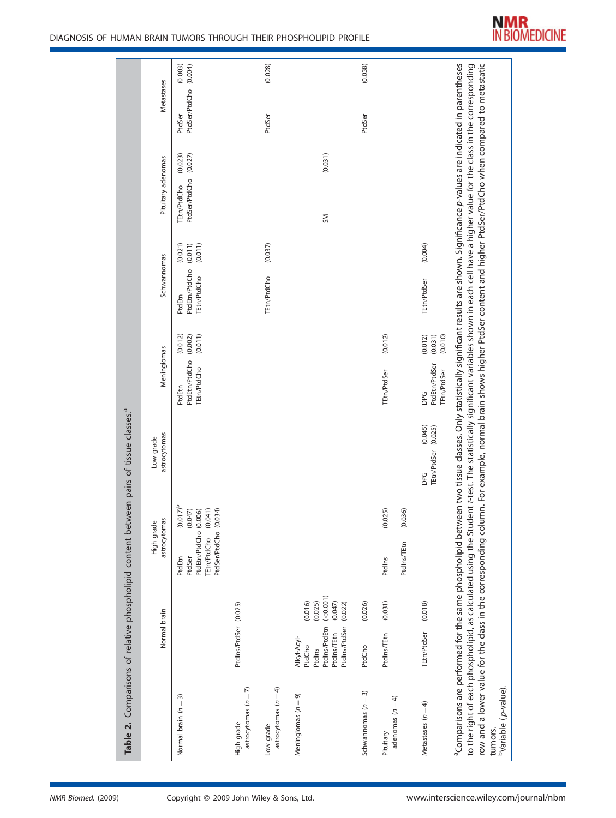| Table 2. Comparisons of relative phospholipid content between pairs of tissue classes. <sup>4</sup>                                                                                                                                                                                                                                                                                                                                                                                                                                                                                                                                      |                                                                                  |                                                        |                                                                                   |                                     |                           |                    |                                                   |                               |                                        |                               |                              |                    |                                 |         |
|------------------------------------------------------------------------------------------------------------------------------------------------------------------------------------------------------------------------------------------------------------------------------------------------------------------------------------------------------------------------------------------------------------------------------------------------------------------------------------------------------------------------------------------------------------------------------------------------------------------------------------------|----------------------------------------------------------------------------------|--------------------------------------------------------|-----------------------------------------------------------------------------------|-------------------------------------|---------------------------|--------------------|---------------------------------------------------|-------------------------------|----------------------------------------|-------------------------------|------------------------------|--------------------|---------------------------------|---------|
|                                                                                                                                                                                                                                                                                                                                                                                                                                                                                                                                                                                                                                          | Normal brain                                                                     |                                                        | astrocytomas                                                                      | High grade                          | astrocytomas<br>Low grade |                    | Meningiomas                                       |                               | Schwannomas                            |                               | Pituitary adenomas           |                    | Metastases                      |         |
| Normal brain $(n=3)$                                                                                                                                                                                                                                                                                                                                                                                                                                                                                                                                                                                                                     |                                                                                  |                                                        | PtdSer/PtdCho (0.034)<br>PtdEtn/PtdCho (0.006)<br>TEtn/PtdCho<br>PtdEtn<br>PtdSer | $(0.017)^b$<br>$(0.047)$<br>(0.041) |                           |                    | PtdEtn/PtdCho<br><b>TEtn/PtdCho</b><br>PtdEtn     | (0.011)<br>(0.012)<br>(0.002) | PtdEtn/PtdCho<br>TEtn/PtdCho<br>PtdEtn | (0.011)<br>(0.011)<br>(0.021) | PtdSer/PtdCho<br>TEtn/PtdCho | (0.023)<br>(0.027) | PtdSer/PtdCho (0.004)<br>PtdSer | (0.003) |
| astrocytomas $(n = 7)$<br>High grade                                                                                                                                                                                                                                                                                                                                                                                                                                                                                                                                                                                                     | PtdIns/PtdSer (0.025)                                                            |                                                        |                                                                                   |                                     |                           |                    |                                                   |                               |                                        |                               |                              |                    |                                 |         |
| astrocytomas $(n=4)$<br>Low grade                                                                                                                                                                                                                                                                                                                                                                                                                                                                                                                                                                                                        |                                                                                  |                                                        |                                                                                   |                                     |                           |                    |                                                   |                               | TEtn/PtdCho                            | (0.037)                       |                              |                    | PtdSer                          | (0.028) |
| Meningiomas $(n=9)$                                                                                                                                                                                                                                                                                                                                                                                                                                                                                                                                                                                                                      | PtdIns/PtdEtn<br>PtdIns/PtdSer<br>PtdIns/TEtn<br>Alkyl-Acyl-<br>PtdCho<br>PtdIns | ( < 0.001)<br>(0.025)<br>(0.016)<br>(0.047)<br>(0.022) |                                                                                   |                                     |                           |                    |                                                   |                               |                                        |                               | SM                           | (0.031)            |                                 |         |
| Schwannomas $(n=3)$                                                                                                                                                                                                                                                                                                                                                                                                                                                                                                                                                                                                                      | PtdCho                                                                           | (0.026)                                                |                                                                                   |                                     |                           |                    |                                                   |                               |                                        |                               |                              |                    | PtdSer                          | (0.038) |
| adenomas $(n = 4)$<br>Pituitary                                                                                                                                                                                                                                                                                                                                                                                                                                                                                                                                                                                                          | PtdIns/TEtn                                                                      | (0.031)                                                | Ptdlns/TEtn<br><b>Ptdlns</b>                                                      | (0.025)<br>(0.036)                  |                           |                    | <b>TEtn/PtdSer</b>                                | (0.012)                       |                                        |                               |                              |                    |                                 |         |
| Metastases $(n = 4)$                                                                                                                                                                                                                                                                                                                                                                                                                                                                                                                                                                                                                     | TEtn/PtdSer                                                                      | (0.018)                                                |                                                                                   |                                     | TEtn/PtdSer<br>Deg        | (0.045)<br>(0.025) | PtdEtn/PtdSer<br><b>TEtn/PtdSer</b><br><b>DPG</b> | (0.010)<br>(0.031)<br>(0.012) | TEtn/PtdSer                            | (0.004)                       |                              |                    |                                 |         |
| <sup>a</sup> Comparisons are performed for the same phospholipid between two tissue classes. Only statistically significant results are shown. Significance p-values are indicated in parentheses<br>to the right of each phospholipid, as calculated using the Student t-test. The statistically significant variables shown in each cell have a higher value for the class in the corresponding<br>row and a lower value for the class in the corresponding column. For example, normal brain shows higher PtdSer content and higher PtdSer/PtdCho when compared to metastatic<br>tumors.<br><sup>b</sup> Variable ( <i>p</i> -value). |                                                                                  |                                                        |                                                                                   |                                     |                           |                    |                                                   |                               |                                        |                               |                              |                    |                                 |         |
|                                                                                                                                                                                                                                                                                                                                                                                                                                                                                                                                                                                                                                          |                                                                                  |                                                        |                                                                                   |                                     |                           |                    |                                                   |                               |                                        |                               |                              |                    |                                 |         |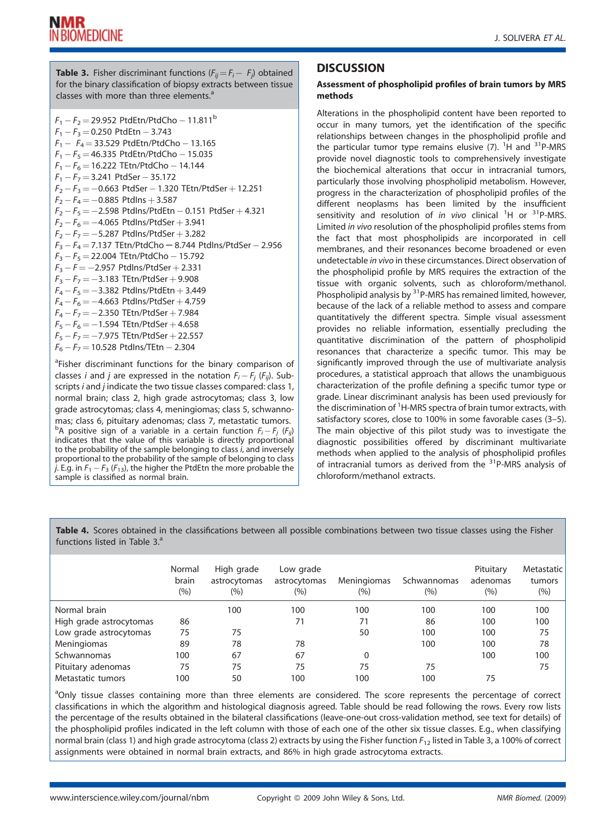**Table 3.** Fisher discriminant functions  $(F_{ij} = F_i - F_j)$  obtained for the binary classification of biopsy extracts between tissue classes with more than three elements.<sup>a</sup>

 $F_1 - F_2 = 29.952$  PtdEtn/PtdCho – 11.811<sup>b</sup>  $F_1 - F_3 = 0.250$  PtdEtn  $- 3.743$  $F_1 - F_4 = 33.529$  PtdEtn/PtdCho - 13.165  $F_1 - F_5 = 46.335$  PtdEtn/PtdCho - 15.035  $F_1 - F_6 = 16.222$  TEtn/PtdCho - 14.144  $F_1 - F_7 = 3.241$  PtdSer - 35.172  $F_2 - F_3 = -0.663$  PtdSer  $- 1.320$  TEtn/PtdSer  $+ 12.251$  $F_2 - F_4 = -0.885$  PtdIns  $+ 3.587$  $F_2 - F_5 = -2.598$  PtdIns/PtdEtn  $- 0.151$  PtdSer  $+ 4.321$  $F_2 - F_6 = -4.065$  PtdIns/PtdSer + 3.941  $F_2 - F_7 = -5.287$  PtdIns/PtdSer + 3.282  $F_3 - F_4 = 7.137$  TEtn/PtdCho – 8.744 PtdIns/PtdSer – 2.956  $F_3 - F_5 = 22.004$  TEtn/PtdCho - 15.792  $F_3 - F = -2.957$  PtdIns/PtdSer + 2.331  $F_3 - F_7 = -3.183$  TEtn/PtdSer + 9.908  $F_4 - F_5 = -3.382$  PtdIns/PtdEtn + 3.449  $F_4 - F_6 = -4.663$  PtdIns/PtdSer  $+ 4.759$  $F_4 - F_7 = -2.350$  TEtn/PtdSer + 7.984  $F_5 - F_6 = -1.594$  TEtn/PtdSer + 4.658  $F_5 - F_7 = -7.975$  TEtn/PtdSer + 22.557  $F_6 - F_7 = 10.528$  PtdIns/TEtn - 2.304

<sup>a</sup>Fisher discriminant functions for the binary comparison of classes *i* and *j* are expressed in the notation  $F_i - F_i$  ( $F_{ii}$ ). Subscripts *i* and *j* indicate the two tissue classes compared: class 1, normal brain; class 2, high grade astrocytomas; class 3, low grade astrocytomas; class 4, meningiomas; class 5, schwannomas; class 6, pituitary adenomas; class 7, metastatic tumors.<br><sup>b</sup>A positive sign of a variable in a certain function  $F_i - F_j$  ( $F_{ij}$ ) indicates that the value of this variable is directly proportional to the probability of the sample belonging to class i, and inversely proportional to the probability of the sample of belonging to class *j*. E.g. in  $F_1 - F_3$  ( $F_{13}$ ), the higher the PtdEtn the more probable the sample is classified as normal brain.

# **DISCUSSION**

#### Assessment of phospholipid profiles of brain tumors by MRS methods

Alterations in the phospholipid content have been reported to occur in many tumors, yet the identification of the specific relationships between changes in the phospholipid profile and the particular tumor type remains elusive (7). <sup>1</sup>H and <sup>31</sup>P-MRS provide novel diagnostic tools to comprehensively investigate the biochemical alterations that occur in intracranial tumors, particularly those involving phospholipid metabolism. However, progress in the characterization of phospholipid profiles of the different neoplasms has been limited by the insufficient sensitivity and resolution of *in vivo* clinical  ${}^{1}H$  or  ${}^{31}P$ -MRS. Limited in vivo resolution of the phospholipid profiles stems from the fact that most phospholipids are incorporated in cell membranes, and their resonances become broadened or even undetectable in vivo in these circumstances. Direct observation of the phospholipid profile by MRS requires the extraction of the tissue with organic solvents, such as chloroform/methanol. Phospholipid analysis by <sup>31</sup>P-MRS has remained limited, however, because of the lack of a reliable method to assess and compare quantitatively the different spectra. Simple visual assessment provides no reliable information, essentially precluding the quantitative discrimination of the pattern of phospholipid resonances that characterize a specific tumor. This may be significantly improved through the use of multivariate analysis procedures, a statistical approach that allows the unambiguous characterization of the profile defining a specific tumor type or grade. Linear discriminant analysis has been used previously for the discrimination of <sup>1</sup>H-MRS spectra of brain tumor extracts, with satisfactory scores, close to 100% in some favorable cases (3–5). The main objective of this pilot study was to investigate the diagnostic possibilities offered by discriminant multivariate methods when applied to the analysis of phospholipid profiles of intracranial tumors as derived from the  $31P$ -MRS analysis of chloroform/methanol extracts.

Table 4. Scores obtained in the classifications between all possible combinations between two tissue classes using the Fisher functions listed in Table  $3.^{a}$ 

|                         | Normal<br>brain<br>(%) | High grade<br>astrocytomas<br>(%) | Low grade<br>astrocytomas<br>(%) | Meningiomas<br>(%) | Schwannomas<br>(%) | Pituitary<br>adenomas<br>(%) | Metastatic<br>tumors<br>(% ) |
|-------------------------|------------------------|-----------------------------------|----------------------------------|--------------------|--------------------|------------------------------|------------------------------|
| Normal brain            |                        | 100                               | 100                              | 100                | 100                | 100                          | 100                          |
| High grade astrocytomas | 86                     |                                   | 71                               | 71                 | 86                 | 100                          | 100                          |
| Low grade astrocytomas  | 75                     | 75                                |                                  | 50                 | 100                | 100                          | 75                           |
| Meningiomas             | 89                     | 78                                | 78                               |                    | 100                | 100                          | 78                           |
| Schwannomas             | 100                    | 67                                | 67                               | 0                  |                    | 100                          | 100                          |
| Pituitary adenomas      | 75                     | 75                                | 75                               | 75                 | 75                 |                              | 75                           |
| Metastatic tumors       | 100                    | 50                                | 100                              | 100                | 100                | 75                           |                              |

<sup>a</sup>Only tissue classes containing more than three elements are considered. The score represents the percentage of correct classifications in which the algorithm and histological diagnosis agreed. Table should be read following the rows. Every row lists the percentage of the results obtained in the bilateral classifications (leave-one-out cross-validation method, see text for details) of the phospholipid profiles indicated in the left column with those of each one of the other six tissue classes. E.g., when classifying normal brain (class 1) and high grade astrocytoma (class 2) extracts by using the Fisher function  $F_{12}$  listed in Table 3, a 100% of correct assignments were obtained in normal brain extracts, and 86% in high grade astrocytoma extracts.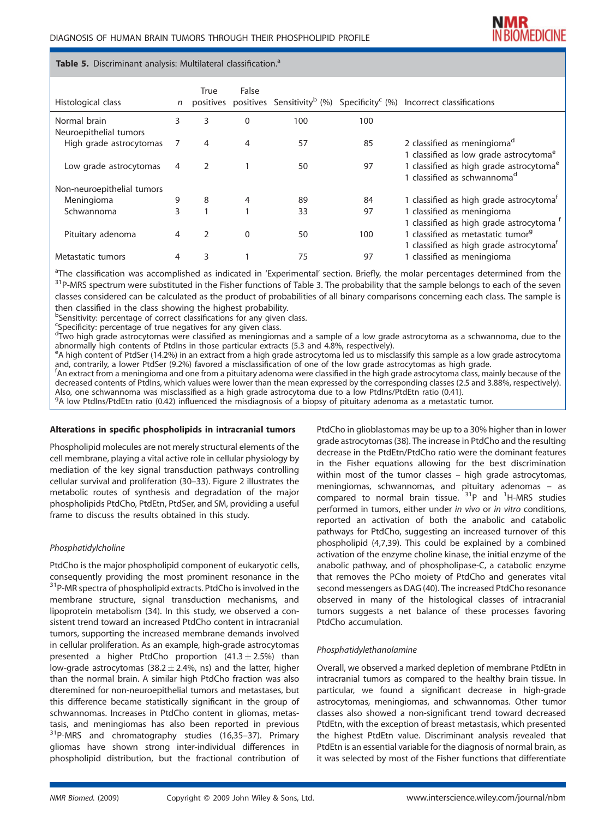#### Table 5. Discriminant analysis: Multilateral classification.<sup>a</sup>

| Histological class                                | n | True         | False    |     |     | positives positives Sensitivity <sup>b</sup> (%) Specificity <sup>c</sup> (%) Incorrect classifications |
|---------------------------------------------------|---|--------------|----------|-----|-----|---------------------------------------------------------------------------------------------------------|
| Normal brain                                      | 3 | 3            | 0        | 100 | 100 |                                                                                                         |
| Neuroepithelial tumors<br>High grade astrocytomas | 7 | 4            | 4        | 57  | 85  | 2 classified as meningiomad<br>1 classified as low grade astrocytoma <sup>e</sup>                       |
| Low grade astrocytomas                            | 4 | 2            |          | 50  | 97  | 1 classified as high grade astrocytoma <sup>e</sup><br>1 classified as schwannoma <sup>d</sup>          |
| Non-neuroepithelial tumors                        |   |              |          |     |     |                                                                                                         |
| Meningioma                                        | 9 | 8            | 4        | 89  | 84  | 1 classified as high grade astrocytomaf                                                                 |
| Schwannoma                                        | 3 | $\mathbf{1}$ |          | 33  | 97  | 1 classified as meningioma                                                                              |
|                                                   |   |              |          |     |     | 1 classified as high grade astrocytoma                                                                  |
| Pituitary adenoma                                 | 4 | 2            | $\Omega$ | 50  | 100 | 1 classified as metastatic tumor <sup>g</sup>                                                           |
|                                                   |   |              |          |     |     | 1 classified as high grade astrocytoma <sup>t</sup>                                                     |
| Metastatic tumors                                 | 4 | 3            |          | 75  | 97  | 1 classified as meningioma                                                                              |

<sup>a</sup>The classification was accomplished as indicated in 'Experimental' section. Briefly, the molar percentages determined from the  $31P-MRS$  spectrum were substituted in the Fisher functions of Table 3. The probability that the sample belongs to each of the seven classes considered can be calculated as the product of probabilities of all binary comparisons concerning each class. The sample is then classified in the class showing the highest probability.

bSensitivity: percentage of correct classifications for any given class.

c Specificity: percentage of true negatives for any given class.

<sup>d</sup> Two high grade astrocytomas were classified as meningiomas and a sample of a low grade astrocytoma as a schwannoma, due to the abnormally high contents of PtdIns in those particular extracts (5.3 and 4.8%, respectively).

e<br>A high content of PtdSer (14.2%) in an extract from a high grade astrocytoma led us to misclassify this sample as a low grade astrocytoma and, contrarily, a lower PtdSer (9.2%) favored a misclassification of one of the low grade astrocytomas as high grade.

<sup>f</sup>An extract from a meningioma and one from a pituitary adenoma were classified in the high grade astrocytoma class, mainly because of the decreased contents of PtdIns, which values were lower than the mean expressed by the corresponding classes (2.5 and 3.88%, respectively). Also, one schwannoma was misclassified as a high grade astrocytoma due to a low PtdIns/PtdEtn ratio (0.41).

<sup>9</sup>A low PtdIns/PtdEtn ratio (0.42) influenced the misdiagnosis of a biopsy of pituitary adenoma as a metastatic tumor.

#### Alterations in specific phospholipids in intracranial tumors

Phospholipid molecules are not merely structural elements of the cell membrane, playing a vital active role in cellular physiology by mediation of the key signal transduction pathways controlling cellular survival and proliferation (30–33). Figure 2 illustrates the metabolic routes of synthesis and degradation of the major phospholipids PtdCho, PtdEtn, PtdSer, and SM, providing a useful frame to discuss the results obtained in this study.

#### Phosphatidylcholine

PtdCho is the major phospholipid component of eukaryotic cells, consequently providing the most prominent resonance in the <sup>31</sup>P-MR spectra of phospholipid extracts. PtdCho is involved in the membrane structure, signal transduction mechanisms, and lipoprotein metabolism (34). In this study, we observed a consistent trend toward an increased PtdCho content in intracranial tumors, supporting the increased membrane demands involved in cellular proliferation. As an example, high-grade astrocytomas presented a higher PtdCho proportion  $(41.3 \pm 2.5\%)$  than low-grade astrocytomas (38.2  $\pm$  2.4%, ns) and the latter, higher than the normal brain. A similar high PtdCho fraction was also dteremined for non-neuroepithelial tumors and metastases, but this difference became statistically significant in the group of schwannomas. Increases in PtdCho content in gliomas, metastasis, and meningiomas has also been reported in previous 31P-MRS and chromatography studies (16,35–37). Primary gliomas have shown strong inter-individual differences in phospholipid distribution, but the fractional contribution of

PtdCho in glioblastomas may be up to a 30% higher than in lower grade astrocytomas (38). The increase in PtdCho and the resulting decrease in the PtdEtn/PtdCho ratio were the dominant features in the Fisher equations allowing for the best discrimination within most of the tumor classes – high grade astrocytomas, meningiomas, schwannomas, and pituitary adenomas – as compared to normal brain tissue. <sup>31</sup>P and <sup>1</sup>H-MRS studies performed in tumors, either under in vivo or in vitro conditions, reported an activation of both the anabolic and catabolic pathways for PtdCho, suggesting an increased turnover of this phospholipid (4,7,39). This could be explained by a combined activation of the enzyme choline kinase, the initial enzyme of the anabolic pathway, and of phospholipase-C, a catabolic enzyme that removes the PCho moiety of PtdCho and generates vital second messengers as DAG (40). The increased PtdCho resonance observed in many of the histological classes of intracranial tumors suggests a net balance of these processes favoring PtdCho accumulation.

NMR

#### Phosphatidylethanolamine

Overall, we observed a marked depletion of membrane PtdEtn in intracranial tumors as compared to the healthy brain tissue. In particular, we found a significant decrease in high-grade astrocytomas, meningiomas, and schwannomas. Other tumor classes also showed a non-significant trend toward decreased PtdEtn, with the exception of breast metastasis, which presented the highest PtdEtn value. Discriminant analysis revealed that PtdEtn is an essential variable for the diagnosis of normal brain, as it was selected by most of the Fisher functions that differentiate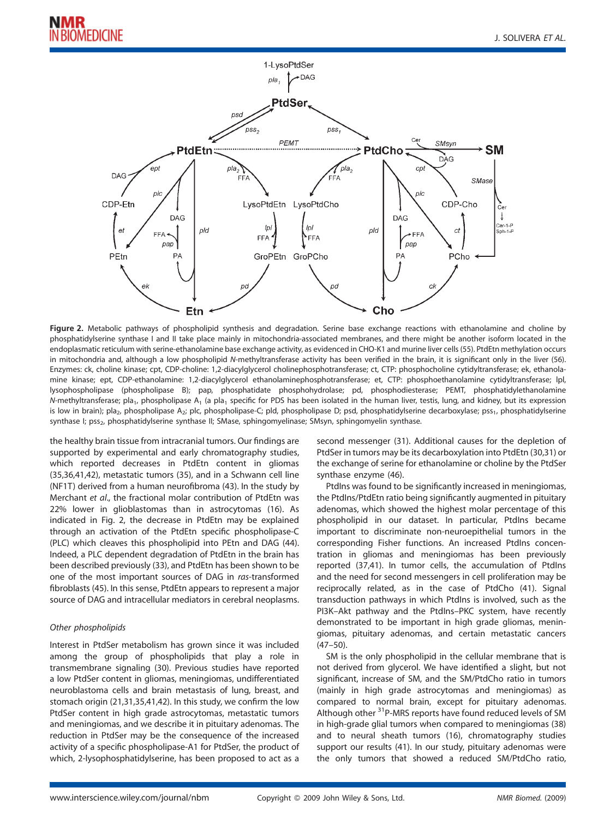

Figure 2. Metabolic pathways of phospholipid synthesis and degradation. Serine base exchange reactions with ethanolamine and choline by phosphatidylserine synthase I and II take place mainly in mitochondria-associated membranes, and there might be another isoform located in the endoplasmatic reticulum with serine-ethanolamine base exchange activity, as evidenced in CHO-K1 and murine liver cells (55). PtdEtn methylation occurs in mitochondria and, although a low phospholipid N-methyltransferase activity has been verified in the brain, it is significant only in the liver (56). Enzymes: ck, choline kinase; cpt, CDP-choline: 1,2-diacylglycerol cholinephosphotransferase; ct, CTP: phosphocholine cytidyltransferase; ek, ethanolamine kinase; ept, CDP-ethanolamine: 1,2-diacylglycerol ethanolaminephosphotransferase; et, CTP: phosphoethanolamine cytidyltransferase; lpl, lysophospholipase (phospholipase B); pap, phosphatidate phosphohydrolase; pd, phosphodiesterase; PEMT, phosphatidylethanolamine N-methyltransferase; pla<sub>1</sub>, phospholipase A<sub>1</sub> (a pla<sub>1</sub> specific for PDS has been isolated in the human liver, testis, lung, and kidney, but its expression is low in brain); pla<sub>2</sub>, phospholipase A<sub>2</sub>; plc, phospholipase-C; pld, phospholipase D; psd, phosphatidylserine decarboxylase; pss<sub>1</sub>, phosphatidylserine synthase I; pss<sub>2</sub>, phosphatidylserine synthase II; SMase, sphingomyelinase; SMsyn, sphingomyelin synthase.

the healthy brain tissue from intracranial tumors. Our findings are supported by experimental and early chromatography studies, which reported decreases in PtdEtn content in gliomas (35,36,41,42), metastatic tumors (35), and in a Schwann cell line (NF1T) derived from a human neurofibroma (43). In the study by Merchant et al., the fractional molar contribution of PtdEtn was 22% lower in glioblastomas than in astrocytomas (16). As indicated in Fig. 2, the decrease in PtdEtn may be explained through an activation of the PtdEtn specific phospholipase-C (PLC) which cleaves this phospholipid into PEtn and DAG (44). Indeed, a PLC dependent degradation of PtdEtn in the brain has been described previously (33), and PtdEtn has been shown to be one of the most important sources of DAG in ras-transformed fibroblasts (45). In this sense, PtdEtn appears to represent a major source of DAG and intracellular mediators in cerebral neoplasms.

#### Other phospholipids

Interest in PtdSer metabolism has grown since it was included among the group of phospholipids that play a role in transmembrane signaling (30). Previous studies have reported a low PtdSer content in gliomas, meningiomas, undifferentiated neuroblastoma cells and brain metastasis of lung, breast, and stomach origin (21,31,35,41,42). In this study, we confirm the low PtdSer content in high grade astrocytomas, metastatic tumors and meningiomas, and we describe it in pituitary adenomas. The reduction in PtdSer may be the consequence of the increased activity of a specific phospholipase-A1 for PtdSer, the product of which, 2-lysophosphatidylserine, has been proposed to act as a

second messenger (31). Additional causes for the depletion of PtdSer in tumors may be its decarboxylation into PtdEtn (30,31) or the exchange of serine for ethanolamine or choline by the PtdSer synthase enzyme (46).

PtdIns was found to be significantly increased in meningiomas, the PtdIns/PtdEtn ratio being significantly augmented in pituitary adenomas, which showed the highest molar percentage of this phospholipid in our dataset. In particular, PtdIns became important to discriminate non-neuroepithelial tumors in the corresponding Fisher functions. An increased PtdIns concentration in gliomas and meningiomas has been previously reported (37,41). In tumor cells, the accumulation of PtdIns and the need for second messengers in cell proliferation may be reciprocally related, as in the case of PtdCho (41). Signal transduction pathways in which PtdIns is involved, such as the PI3K–Akt pathway and the PtdIns–PKC system, have recently demonstrated to be important in high grade gliomas, meningiomas, pituitary adenomas, and certain metastatic cancers  $(47-50)$ .

SM is the only phospholipid in the cellular membrane that is not derived from glycerol. We have identified a slight, but not significant, increase of SM, and the SM/PtdCho ratio in tumors (mainly in high grade astrocytomas and meningiomas) as compared to normal brain, except for pituitary adenomas. Although other <sup>31</sup>P-MRS reports have found reduced levels of SM in high-grade glial tumors when compared to meningiomas (38) and to neural sheath tumors (16), chromatography studies support our results (41). In our study, pituitary adenomas were the only tumors that showed a reduced SM/PtdCho ratio,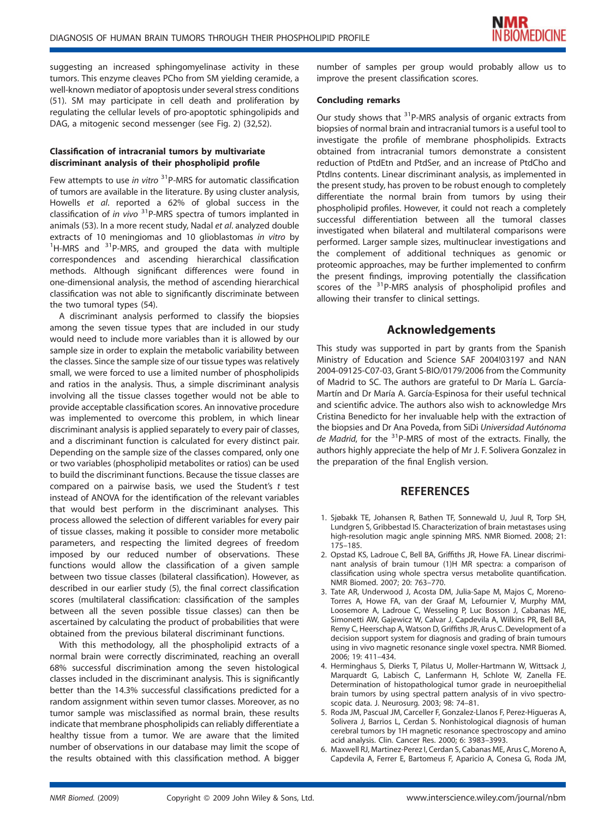suggesting an increased sphingomyelinase activity in these tumors. This enzyme cleaves PCho from SM yielding ceramide, a well-known mediator of apoptosis under several stress conditions (51). SM may participate in cell death and proliferation by regulating the cellular levels of pro-apoptotic sphingolipids and DAG, a mitogenic second messenger (see Fig. 2) (32,52).

#### Classification of intracranial tumors by multivariate discriminant analysis of their phospholipid profile

Few attempts to use in vitro  $31P$ -MRS for automatic classification of tumors are available in the literature. By using cluster analysis, Howells et al. reported a 62% of global success in the classification of in vivo  $31P$ -MRS spectra of tumors implanted in animals (53). In a more recent study, Nadal et al. analyzed double extracts of 10 meningiomas and 10 glioblastomas in vitro by  ${}^{1}$ H-MRS and  ${}^{31}$ P-MRS, and grouped the data with multiple correspondences and ascending hierarchical classification methods. Although significant differences were found in one-dimensional analysis, the method of ascending hierarchical classification was not able to significantly discriminate between the two tumoral types (54).

A discriminant analysis performed to classify the biopsies among the seven tissue types that are included in our study would need to include more variables than it is allowed by our sample size in order to explain the metabolic variability between the classes. Since the sample size of our tissue types was relatively small, we were forced to use a limited number of phospholipids and ratios in the analysis. Thus, a simple discriminant analysis involving all the tissue classes together would not be able to provide acceptable classification scores. An innovative procedure was implemented to overcome this problem, in which linear discriminant analysis is applied separately to every pair of classes, and a discriminant function is calculated for every distinct pair. Depending on the sample size of the classes compared, only one or two variables (phospholipid metabolites or ratios) can be used to build the discriminant functions. Because the tissue classes are compared on a pairwise basis, we used the Student's  $t$  test instead of ANOVA for the identification of the relevant variables that would best perform in the discriminant analyses. This process allowed the selection of different variables for every pair of tissue classes, making it possible to consider more metabolic parameters, and respecting the limited degrees of freedom imposed by our reduced number of observations. These functions would allow the classification of a given sample between two tissue classes (bilateral classification). However, as described in our earlier study (5), the final correct classification scores (multilateral classification: classification of the samples between all the seven possible tissue classes) can then be ascertained by calculating the product of probabilities that were obtained from the previous bilateral discriminant functions.

With this methodology, all the phospholipid extracts of a normal brain were correctly discriminated, reaching an overall 68% successful discrimination among the seven histological classes included in the discriminant analysis. This is significantly better than the 14.3% successful classifications predicted for a random assignment within seven tumor classes. Moreover, as no tumor sample was misclassified as normal brain, these results indicate that membrane phospholipids can reliably differentiate a healthy tissue from a tumor. We are aware that the limited number of observations in our database may limit the scope of the results obtained with this classification method. A bigger

number of samples per group would probably allow us to improve the present classification scores.

#### Concluding remarks

Our study shows that  $31P-MRS$  analysis of organic extracts from biopsies of normal brain and intracranial tumors is a useful tool to investigate the profile of membrane phospholipids. Extracts obtained from intracranial tumors demonstrate a consistent reduction of PtdEtn and PtdSer, and an increase of PtdCho and PtdIns contents. Linear discriminant analysis, as implemented in the present study, has proven to be robust enough to completely differentiate the normal brain from tumors by using their phospholipid profiles. However, it could not reach a completely successful differentiation between all the tumoral classes investigated when bilateral and multilateral comparisons were performed. Larger sample sizes, multinuclear investigations and the complement of additional techniques as genomic or proteomic approaches, may be further implemented to confirm the present findings, improving potentially the classification scores of the <sup>31</sup>P-MRS analysis of phospholipid profiles and allowing their transfer to clinical settings.

# Acknowledgements

This study was supported in part by grants from the Spanish Ministry of Education and Science SAF 2004!03197 and NAN 2004-09125-C07-03, Grant S-BIO/0179/2006 from the Community of Madrid to SC. The authors are grateful to Dr María L. García-Martín and Dr María A. García-Espinosa for their useful technical and scientific advice. The authors also wish to acknowledge Mrs Cristina Benedicto for her invaluable help with the extraction of the biopsies and Dr Ana Poveda, from SiDi Universidad Autónoma de Madrid, for the  $31P$ -MRS of most of the extracts. Finally, the authors highly appreciate the help of Mr J. F. Solivera Gonzalez in the preparation of the final English version.

# **REFERENCES**

- 1. Sjøbakk TE, Johansen R, Bathen TF, Sonnewald U, Juul R, Torp SH, Lundgren S, Gribbestad IS. Characterization of brain metastases using high-resolution magic angle spinning MRS. NMR Biomed. 2008; 21: 175–185.
- 2. Opstad KS, Ladroue C, Bell BA, Griffiths JR, Howe FA. Linear discriminant analysis of brain tumour (1)H MR spectra: a comparison of classification using whole spectra versus metabolite quantification. NMR Biomed. 2007; 20: 763–770.
- 3. Tate AR, Underwood J, Acosta DM, Julia-Sape M, Majos C, Moreno-Torres A, Howe FA, van der Graaf M, Lefournier V, Murphy MM, Loosemore A, Ladroue C, Wesseling P, Luc Bosson J, Cabanas ME, Simonetti AW, Gajewicz W, Calvar J, Capdevila A, Wilkins PR, Bell BA, Remy C, Heerschap A, Watson D, Griffiths JR, Arus C. Development of a decision support system for diagnosis and grading of brain tumours using in vivo magnetic resonance single voxel spectra. NMR Biomed. 2006; 19: 411–434.
- 4. Herminghaus S, Dierks T, Pilatus U, Moller-Hartmann W, Wittsack J, Marquardt G, Labisch C, Lanfermann H, Schlote W, Zanella FE. Determination of histopathological tumor grade in neuroepithelial brain tumors by using spectral pattern analysis of in vivo spectroscopic data. J. Neurosurg. 2003; 98: 74–81.
- 5. Roda JM, Pascual JM, Carceller F, Gonzalez-Llanos F, Perez-Higueras A, Solivera J, Barrios L, Cerdan S. Nonhistological diagnosis of human cerebral tumors by 1H magnetic resonance spectroscopy and amino acid analysis. Clin. Cancer Res. 2000; 6: 3983–3993.
- 6. Maxwell RJ, Martinez-Perez I, Cerdan S, Cabanas ME, Arus C, Moreno A, Capdevila A, Ferrer E, Bartomeus F, Aparicio A, Conesa G, Roda JM,